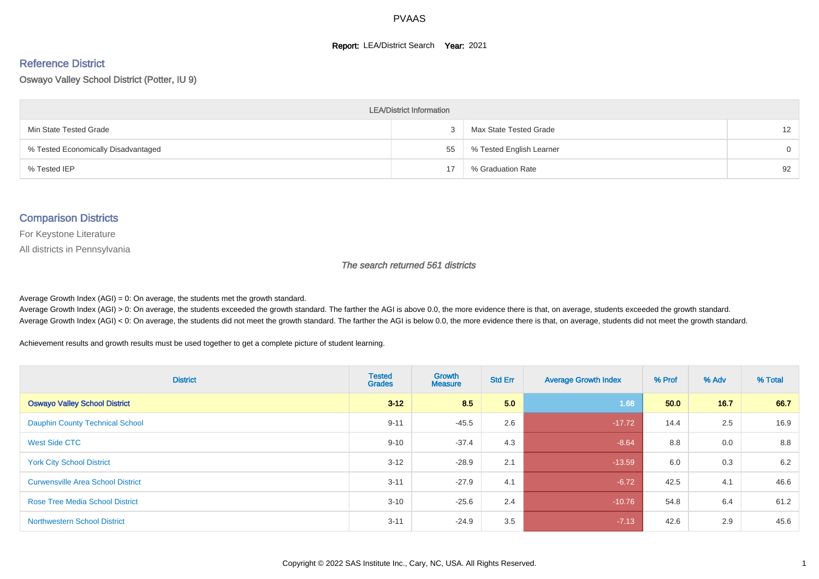#### **Report: LEA/District Search Year: 2021**

# Reference District

Oswayo Valley School District (Potter, IU 9)

| <b>LEA/District Information</b>     |    |                          |                   |  |  |  |  |  |  |  |
|-------------------------------------|----|--------------------------|-------------------|--|--|--|--|--|--|--|
| Min State Tested Grade              |    | Max State Tested Grade   | $12 \overline{ }$ |  |  |  |  |  |  |  |
| % Tested Economically Disadvantaged | 55 | % Tested English Learner | $\Omega$          |  |  |  |  |  |  |  |
| % Tested IEP                        | 17 | % Graduation Rate        | 92                |  |  |  |  |  |  |  |

#### Comparison Districts

For Keystone Literature

All districts in Pennsylvania

The search returned 561 districts

Average Growth Index  $(AGI) = 0$ : On average, the students met the growth standard.

Average Growth Index (AGI) > 0: On average, the students exceeded the growth standard. The farther the AGI is above 0.0, the more evidence there is that, on average, students exceeded the growth standard. Average Growth Index (AGI) < 0: On average, the students did not meet the growth standard. The farther the AGI is below 0.0, the more evidence there is that, on average, students did not meet the growth standard.

Achievement results and growth results must be used together to get a complete picture of student learning.

| <b>District</b>                          | <b>Tested</b><br><b>Grades</b> | <b>Growth</b><br><b>Measure</b> | <b>Std Err</b> | <b>Average Growth Index</b> | % Prof | % Adv | % Total |
|------------------------------------------|--------------------------------|---------------------------------|----------------|-----------------------------|--------|-------|---------|
| <b>Oswayo Valley School District</b>     | $3 - 12$                       | 8.5                             | 5.0            | 1.68                        | 50.0   | 16.7  | 66.7    |
| <b>Dauphin County Technical School</b>   | $9 - 11$                       | $-45.5$                         | 2.6            | $-17.72$                    | 14.4   | 2.5   | 16.9    |
| <b>West Side CTC</b>                     | $9 - 10$                       | $-37.4$                         | 4.3            | $-8.64$                     | 8.8    | 0.0   | 8.8     |
| <b>York City School District</b>         | $3 - 12$                       | $-28.9$                         | 2.1            | $-13.59$                    | 6.0    | 0.3   | 6.2     |
| <b>Curwensville Area School District</b> | $3 - 11$                       | $-27.9$                         | 4.1            | $-6.72$                     | 42.5   | 4.1   | 46.6    |
| <b>Rose Tree Media School District</b>   | $3 - 10$                       | $-25.6$                         | 2.4            | $-10.76$                    | 54.8   | 6.4   | 61.2    |
| <b>Northwestern School District</b>      | $3 - 11$                       | $-24.9$                         | 3.5            | $-7.13$                     | 42.6   | 2.9   | 45.6    |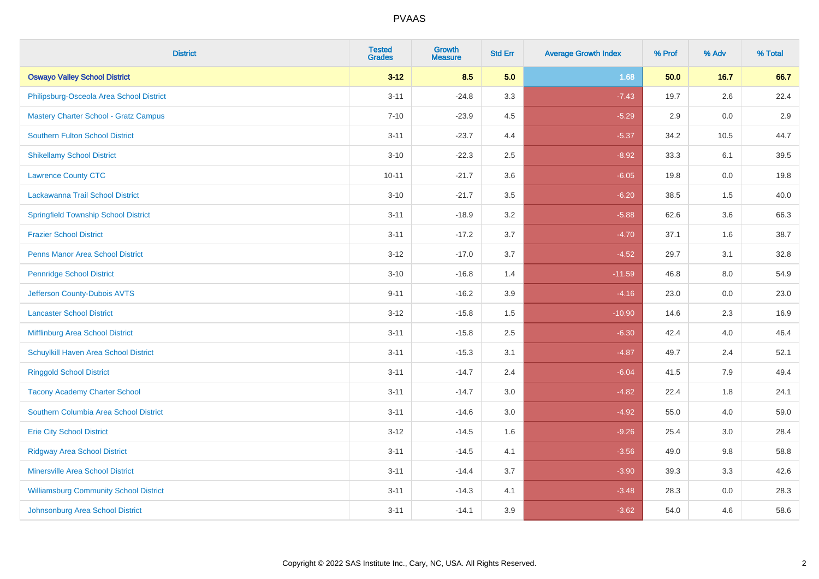| <b>District</b>                               | <b>Tested</b><br><b>Grades</b> | <b>Growth</b><br><b>Measure</b> | <b>Std Err</b> | <b>Average Growth Index</b> | % Prof | % Adv  | % Total |
|-----------------------------------------------|--------------------------------|---------------------------------|----------------|-----------------------------|--------|--------|---------|
| <b>Oswayo Valley School District</b>          | $3 - 12$                       | 8.5                             | 5.0            | 1.68                        | 50.0   | $16.7$ | 66.7    |
| Philipsburg-Osceola Area School District      | $3 - 11$                       | $-24.8$                         | 3.3            | $-7.43$                     | 19.7   | 2.6    | 22.4    |
| <b>Mastery Charter School - Gratz Campus</b>  | $7 - 10$                       | $-23.9$                         | 4.5            | $-5.29$                     | 2.9    | 0.0    | 2.9     |
| <b>Southern Fulton School District</b>        | $3 - 11$                       | $-23.7$                         | 4.4            | $-5.37$                     | 34.2   | 10.5   | 44.7    |
| <b>Shikellamy School District</b>             | $3 - 10$                       | $-22.3$                         | 2.5            | $-8.92$                     | 33.3   | 6.1    | 39.5    |
| <b>Lawrence County CTC</b>                    | $10 - 11$                      | $-21.7$                         | 3.6            | $-6.05$                     | 19.8   | 0.0    | 19.8    |
| Lackawanna Trail School District              | $3 - 10$                       | $-21.7$                         | $3.5\,$        | $-6.20$                     | 38.5   | 1.5    | 40.0    |
| <b>Springfield Township School District</b>   | $3 - 11$                       | $-18.9$                         | 3.2            | $-5.88$                     | 62.6   | 3.6    | 66.3    |
| <b>Frazier School District</b>                | $3 - 11$                       | $-17.2$                         | 3.7            | $-4.70$                     | 37.1   | 1.6    | 38.7    |
| <b>Penns Manor Area School District</b>       | $3 - 12$                       | $-17.0$                         | 3.7            | $-4.52$                     | 29.7   | 3.1    | 32.8    |
| <b>Pennridge School District</b>              | $3 - 10$                       | $-16.8$                         | 1.4            | $-11.59$                    | 46.8   | 8.0    | 54.9    |
| Jefferson County-Dubois AVTS                  | $9 - 11$                       | $-16.2$                         | 3.9            | $-4.16$                     | 23.0   | 0.0    | 23.0    |
| <b>Lancaster School District</b>              | $3 - 12$                       | $-15.8$                         | 1.5            | $-10.90$                    | 14.6   | 2.3    | 16.9    |
| Mifflinburg Area School District              | $3 - 11$                       | $-15.8$                         | 2.5            | $-6.30$                     | 42.4   | 4.0    | 46.4    |
| Schuylkill Haven Area School District         | $3 - 11$                       | $-15.3$                         | 3.1            | $-4.87$                     | 49.7   | 2.4    | 52.1    |
| <b>Ringgold School District</b>               | $3 - 11$                       | $-14.7$                         | 2.4            | $-6.04$                     | 41.5   | 7.9    | 49.4    |
| <b>Tacony Academy Charter School</b>          | $3 - 11$                       | $-14.7$                         | 3.0            | $-4.82$                     | 22.4   | 1.8    | 24.1    |
| Southern Columbia Area School District        | $3 - 11$                       | $-14.6$                         | 3.0            | $-4.92$                     | 55.0   | 4.0    | 59.0    |
| <b>Erie City School District</b>              | $3 - 12$                       | $-14.5$                         | 1.6            | $-9.26$                     | 25.4   | 3.0    | 28.4    |
| <b>Ridgway Area School District</b>           | $3 - 11$                       | $-14.5$                         | 4.1            | $-3.56$                     | 49.0   | 9.8    | 58.8    |
| Minersville Area School District              | $3 - 11$                       | $-14.4$                         | 3.7            | $-3.90$                     | 39.3   | 3.3    | 42.6    |
| <b>Williamsburg Community School District</b> | $3 - 11$                       | $-14.3$                         | 4.1            | $-3.48$                     | 28.3   | 0.0    | 28.3    |
| Johnsonburg Area School District              | $3 - 11$                       | $-14.1$                         | 3.9            | $-3.62$                     | 54.0   | 4.6    | 58.6    |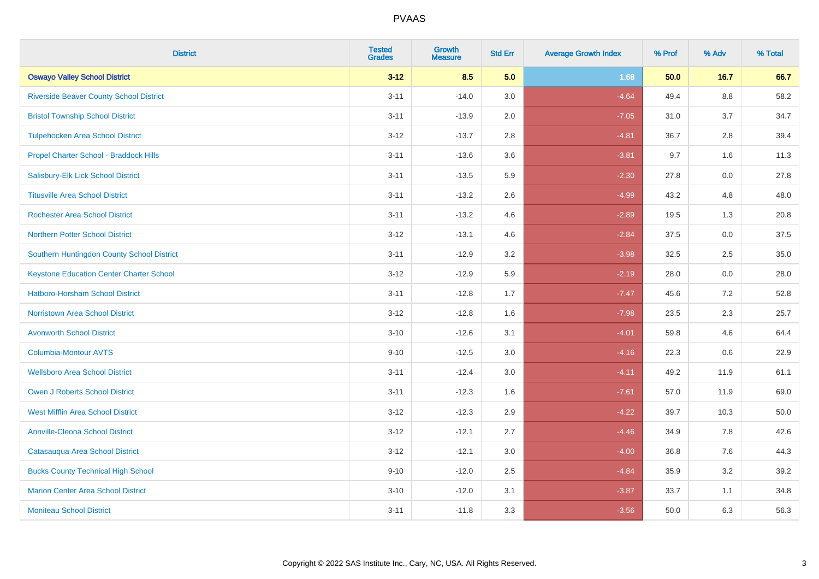| <b>District</b>                                 | <b>Tested</b><br><b>Grades</b> | <b>Growth</b><br><b>Measure</b> | <b>Std Err</b> | <b>Average Growth Index</b> | % Prof | % Adv   | % Total |
|-------------------------------------------------|--------------------------------|---------------------------------|----------------|-----------------------------|--------|---------|---------|
| <b>Oswayo Valley School District</b>            | $3 - 12$                       | 8.5                             | 5.0            | 1.68                        | 50.0   | 16.7    | 66.7    |
| <b>Riverside Beaver County School District</b>  | $3 - 11$                       | $-14.0$                         | 3.0            | $-4.64$                     | 49.4   | $8.8\,$ | 58.2    |
| <b>Bristol Township School District</b>         | $3 - 11$                       | $-13.9$                         | 2.0            | $-7.05$                     | 31.0   | 3.7     | 34.7    |
| <b>Tulpehocken Area School District</b>         | $3 - 12$                       | $-13.7$                         | 2.8            | $-4.81$                     | 36.7   | 2.8     | 39.4    |
| Propel Charter School - Braddock Hills          | $3 - 11$                       | $-13.6$                         | 3.6            | $-3.81$                     | 9.7    | 1.6     | 11.3    |
| Salisbury-Elk Lick School District              | $3 - 11$                       | $-13.5$                         | 5.9            | $-2.30$                     | 27.8   | 0.0     | 27.8    |
| <b>Titusville Area School District</b>          | $3 - 11$                       | $-13.2$                         | 2.6            | $-4.99$                     | 43.2   | 4.8     | 48.0    |
| <b>Rochester Area School District</b>           | $3 - 11$                       | $-13.2$                         | 4.6            | $-2.89$                     | 19.5   | 1.3     | 20.8    |
| <b>Northern Potter School District</b>          | $3 - 12$                       | $-13.1$                         | 4.6            | $-2.84$                     | 37.5   | 0.0     | 37.5    |
| Southern Huntingdon County School District      | $3 - 11$                       | $-12.9$                         | 3.2            | $-3.98$                     | 32.5   | $2.5\,$ | 35.0    |
| <b>Keystone Education Center Charter School</b> | $3 - 12$                       | $-12.9$                         | 5.9            | $-2.19$                     | 28.0   | 0.0     | 28.0    |
| <b>Hatboro-Horsham School District</b>          | $3 - 11$                       | $-12.8$                         | 1.7            | $-7.47$                     | 45.6   | 7.2     | 52.8    |
| <b>Norristown Area School District</b>          | $3 - 12$                       | $-12.8$                         | 1.6            | $-7.98$                     | 23.5   | 2.3     | 25.7    |
| <b>Avonworth School District</b>                | $3 - 10$                       | $-12.6$                         | 3.1            | $-4.01$                     | 59.8   | 4.6     | 64.4    |
| Columbia-Montour AVTS                           | $9 - 10$                       | $-12.5$                         | 3.0            | $-4.16$                     | 22.3   | 0.6     | 22.9    |
| <b>Wellsboro Area School District</b>           | $3 - 11$                       | $-12.4$                         | 3.0            | $-4.11$                     | 49.2   | 11.9    | 61.1    |
| <b>Owen J Roberts School District</b>           | $3 - 11$                       | $-12.3$                         | 1.6            | $-7.61$                     | 57.0   | 11.9    | 69.0    |
| <b>West Mifflin Area School District</b>        | $3 - 12$                       | $-12.3$                         | 2.9            | $-4.22$                     | 39.7   | 10.3    | 50.0    |
| <b>Annville-Cleona School District</b>          | $3 - 12$                       | $-12.1$                         | 2.7            | $-4.46$                     | 34.9   | 7.8     | 42.6    |
| Catasauqua Area School District                 | $3 - 12$                       | $-12.1$                         | 3.0            | $-4.00$                     | 36.8   | 7.6     | 44.3    |
| <b>Bucks County Technical High School</b>       | $9 - 10$                       | $-12.0$                         | 2.5            | $-4.84$                     | 35.9   | 3.2     | 39.2    |
| <b>Marion Center Area School District</b>       | $3 - 10$                       | $-12.0$                         | 3.1            | $-3.87$                     | 33.7   | 1.1     | 34.8    |
| <b>Moniteau School District</b>                 | $3 - 11$                       | $-11.8$                         | 3.3            | $-3.56$                     | 50.0   | 6.3     | 56.3    |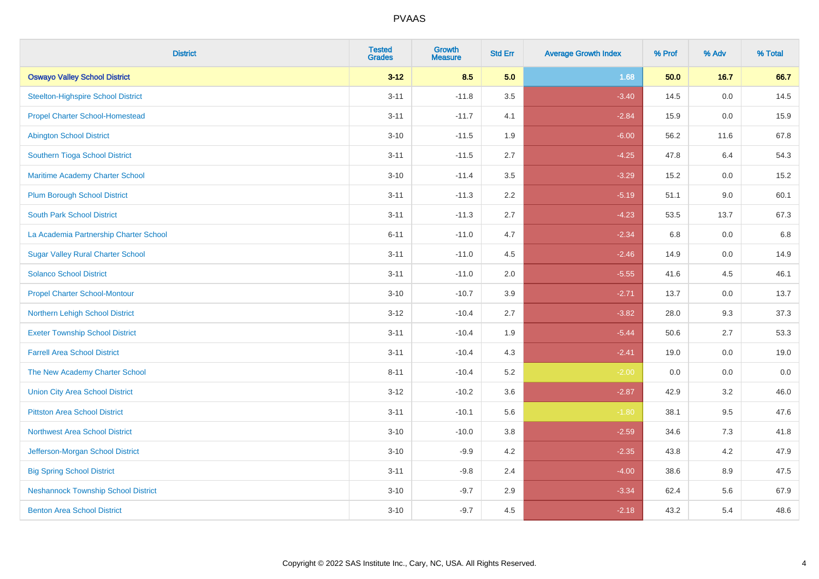| <b>District</b>                            | <b>Tested</b><br><b>Grades</b> | <b>Growth</b><br><b>Measure</b> | <b>Std Err</b> | <b>Average Growth Index</b> | % Prof | % Adv | % Total |
|--------------------------------------------|--------------------------------|---------------------------------|----------------|-----------------------------|--------|-------|---------|
| <b>Oswayo Valley School District</b>       | $3 - 12$                       | 8.5                             | 5.0            | 1.68                        | 50.0   | 16.7  | 66.7    |
| <b>Steelton-Highspire School District</b>  | $3 - 11$                       | $-11.8$                         | 3.5            | $-3.40$                     | 14.5   | 0.0   | 14.5    |
| <b>Propel Charter School-Homestead</b>     | $3 - 11$                       | $-11.7$                         | 4.1            | $-2.84$                     | 15.9   | 0.0   | 15.9    |
| <b>Abington School District</b>            | $3 - 10$                       | $-11.5$                         | 1.9            | $-6.00$                     | 56.2   | 11.6  | 67.8    |
| Southern Tioga School District             | $3 - 11$                       | $-11.5$                         | 2.7            | $-4.25$                     | 47.8   | 6.4   | 54.3    |
| Maritime Academy Charter School            | $3 - 10$                       | $-11.4$                         | 3.5            | $-3.29$                     | 15.2   | 0.0   | 15.2    |
| <b>Plum Borough School District</b>        | $3 - 11$                       | $-11.3$                         | 2.2            | $-5.19$                     | 51.1   | 9.0   | 60.1    |
| <b>South Park School District</b>          | $3 - 11$                       | $-11.3$                         | 2.7            | $-4.23$                     | 53.5   | 13.7  | 67.3    |
| La Academia Partnership Charter School     | $6 - 11$                       | $-11.0$                         | 4.7            | $-2.34$                     | 6.8    | 0.0   | 6.8     |
| <b>Sugar Valley Rural Charter School</b>   | $3 - 11$                       | $-11.0$                         | 4.5            | $-2.46$                     | 14.9   | 0.0   | 14.9    |
| <b>Solanco School District</b>             | $3 - 11$                       | $-11.0$                         | 2.0            | $-5.55$                     | 41.6   | 4.5   | 46.1    |
| <b>Propel Charter School-Montour</b>       | $3 - 10$                       | $-10.7$                         | 3.9            | $-2.71$                     | 13.7   | 0.0   | 13.7    |
| Northern Lehigh School District            | $3-12$                         | $-10.4$                         | 2.7            | $-3.82$                     | 28.0   | 9.3   | 37.3    |
| <b>Exeter Township School District</b>     | $3 - 11$                       | $-10.4$                         | 1.9            | $-5.44$                     | 50.6   | 2.7   | 53.3    |
| <b>Farrell Area School District</b>        | $3 - 11$                       | $-10.4$                         | 4.3            | $-2.41$                     | 19.0   | 0.0   | 19.0    |
| The New Academy Charter School             | $8 - 11$                       | $-10.4$                         | 5.2            | $-2.00$                     | 0.0    | 0.0   | 0.0     |
| <b>Union City Area School District</b>     | $3 - 12$                       | $-10.2$                         | 3.6            | $-2.87$                     | 42.9   | 3.2   | 46.0    |
| <b>Pittston Area School District</b>       | $3 - 11$                       | $-10.1$                         | 5.6            | $-1.80$                     | 38.1   | 9.5   | 47.6    |
| <b>Northwest Area School District</b>      | $3 - 10$                       | $-10.0$                         | 3.8            | $-2.59$                     | 34.6   | 7.3   | 41.8    |
| Jefferson-Morgan School District           | $3 - 10$                       | $-9.9$                          | 4.2            | $-2.35$                     | 43.8   | 4.2   | 47.9    |
| <b>Big Spring School District</b>          | $3 - 11$                       | $-9.8$                          | 2.4            | $-4.00$                     | 38.6   | 8.9   | 47.5    |
| <b>Neshannock Township School District</b> | $3 - 10$                       | $-9.7$                          | 2.9            | $-3.34$                     | 62.4   | 5.6   | 67.9    |
| <b>Benton Area School District</b>         | $3 - 10$                       | $-9.7$                          | 4.5            | $-2.18$                     | 43.2   | 5.4   | 48.6    |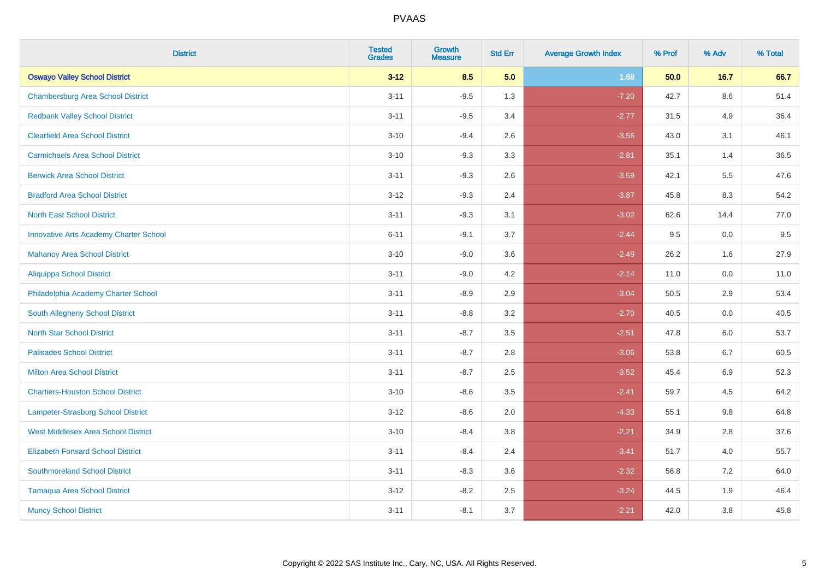| <b>District</b>                               | <b>Tested</b><br><b>Grades</b> | <b>Growth</b><br><b>Measure</b> | <b>Std Err</b> | <b>Average Growth Index</b> | % Prof | % Adv   | % Total |
|-----------------------------------------------|--------------------------------|---------------------------------|----------------|-----------------------------|--------|---------|---------|
| <b>Oswayo Valley School District</b>          | $3 - 12$                       | 8.5                             | 5.0            | 1.68                        | 50.0   | 16.7    | 66.7    |
| <b>Chambersburg Area School District</b>      | $3 - 11$                       | $-9.5$                          | 1.3            | $-7.20$                     | 42.7   | $8.6\,$ | 51.4    |
| <b>Redbank Valley School District</b>         | $3 - 11$                       | $-9.5$                          | 3.4            | $-2.77$                     | 31.5   | 4.9     | 36.4    |
| <b>Clearfield Area School District</b>        | $3 - 10$                       | $-9.4$                          | 2.6            | $-3.56$                     | 43.0   | 3.1     | 46.1    |
| <b>Carmichaels Area School District</b>       | $3 - 10$                       | $-9.3$                          | 3.3            | $-2.81$                     | 35.1   | 1.4     | 36.5    |
| <b>Berwick Area School District</b>           | $3 - 11$                       | $-9.3$                          | 2.6            | $-3.59$                     | 42.1   | 5.5     | 47.6    |
| <b>Bradford Area School District</b>          | $3 - 12$                       | $-9.3$                          | 2.4            | $-3.87$                     | 45.8   | 8.3     | 54.2    |
| <b>North East School District</b>             | $3 - 11$                       | $-9.3$                          | 3.1            | $-3.02$                     | 62.6   | 14.4    | 77.0    |
| <b>Innovative Arts Academy Charter School</b> | $6 - 11$                       | $-9.1$                          | 3.7            | $-2.44$                     | 9.5    | 0.0     | 9.5     |
| <b>Mahanoy Area School District</b>           | $3 - 10$                       | $-9.0$                          | 3.6            | $-2.49$                     | 26.2   | 1.6     | 27.9    |
| Aliquippa School District                     | $3 - 11$                       | $-9.0$                          | 4.2            | $-2.14$                     | 11.0   | 0.0     | 11.0    |
| Philadelphia Academy Charter School           | $3 - 11$                       | $-8.9$                          | 2.9            | $-3.04$                     | 50.5   | 2.9     | 53.4    |
| South Allegheny School District               | $3 - 11$                       | $-8.8$                          | 3.2            | $-2.70$                     | 40.5   | 0.0     | 40.5    |
| <b>North Star School District</b>             | $3 - 11$                       | $-8.7$                          | 3.5            | $-2.51$                     | 47.8   | 6.0     | 53.7    |
| <b>Palisades School District</b>              | $3 - 11$                       | $-8.7$                          | 2.8            | $-3.06$                     | 53.8   | 6.7     | 60.5    |
| <b>Milton Area School District</b>            | $3 - 11$                       | $-8.7$                          | 2.5            | $-3.52$                     | 45.4   | $6.9\,$ | 52.3    |
| <b>Chartiers-Houston School District</b>      | $3 - 10$                       | $-8.6$                          | 3.5            | $-2.41$                     | 59.7   | 4.5     | 64.2    |
| Lampeter-Strasburg School District            | $3 - 12$                       | $-8.6$                          | 2.0            | $-4.33$                     | 55.1   | 9.8     | 64.8    |
| <b>West Middlesex Area School District</b>    | $3 - 10$                       | $-8.4$                          | 3.8            | $-2.21$                     | 34.9   | 2.8     | 37.6    |
| <b>Elizabeth Forward School District</b>      | $3 - 11$                       | $-8.4$                          | 2.4            | $-3.41$                     | 51.7   | 4.0     | 55.7    |
| <b>Southmoreland School District</b>          | $3 - 11$                       | $-8.3$                          | 3.6            | $-2.32$                     | 56.8   | 7.2     | 64.0    |
| <b>Tamaqua Area School District</b>           | $3 - 12$                       | $-8.2$                          | 2.5            | $-3.24$                     | 44.5   | 1.9     | 46.4    |
| <b>Muncy School District</b>                  | $3 - 11$                       | $-8.1$                          | 3.7            | $-2.21$                     | 42.0   | 3.8     | 45.8    |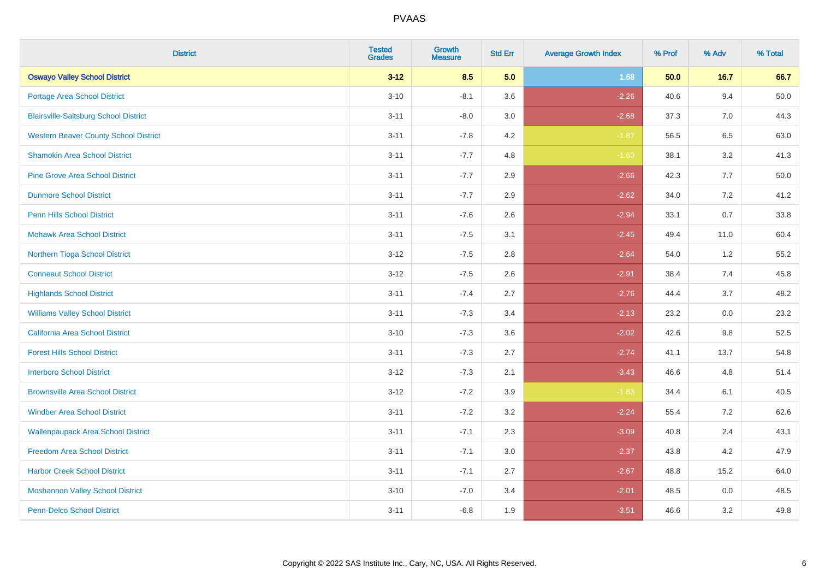| <b>District</b>                              | <b>Tested</b><br><b>Grades</b> | <b>Growth</b><br><b>Measure</b> | <b>Std Err</b> | <b>Average Growth Index</b> | % Prof | % Adv | % Total  |
|----------------------------------------------|--------------------------------|---------------------------------|----------------|-----------------------------|--------|-------|----------|
| <b>Oswayo Valley School District</b>         | $3 - 12$                       | 8.5                             | 5.0            | 1.68                        | 50.0   | 16.7  | 66.7     |
| <b>Portage Area School District</b>          | $3 - 10$                       | $-8.1$                          | 3.6            | $-2.26$                     | 40.6   | 9.4   | $50.0\,$ |
| <b>Blairsville-Saltsburg School District</b> | $3 - 11$                       | $-8.0$                          | 3.0            | $-2.68$                     | 37.3   | 7.0   | 44.3     |
| <b>Western Beaver County School District</b> | $3 - 11$                       | $-7.8$                          | 4.2            | $-1.87$                     | 56.5   | 6.5   | 63.0     |
| <b>Shamokin Area School District</b>         | $3 - 11$                       | $-7.7$                          | 4.8            | $-1.60$                     | 38.1   | 3.2   | 41.3     |
| <b>Pine Grove Area School District</b>       | $3 - 11$                       | $-7.7$                          | 2.9            | $-2.66$                     | 42.3   | 7.7   | 50.0     |
| <b>Dunmore School District</b>               | $3 - 11$                       | $-7.7$                          | 2.9            | $-2.62$                     | 34.0   | 7.2   | 41.2     |
| <b>Penn Hills School District</b>            | $3 - 11$                       | $-7.6$                          | 2.6            | $-2.94$                     | 33.1   | 0.7   | 33.8     |
| <b>Mohawk Area School District</b>           | $3 - 11$                       | $-7.5$                          | 3.1            | $-2.45$                     | 49.4   | 11.0  | 60.4     |
| Northern Tioga School District               | $3 - 12$                       | $-7.5$                          | 2.8            | $-2.64$                     | 54.0   | 1.2   | 55.2     |
| <b>Conneaut School District</b>              | $3 - 12$                       | $-7.5$                          | 2.6            | $-2.91$                     | 38.4   | 7.4   | 45.8     |
| <b>Highlands School District</b>             | $3 - 11$                       | $-7.4$                          | 2.7            | $-2.76$                     | 44.4   | 3.7   | 48.2     |
| <b>Williams Valley School District</b>       | $3 - 11$                       | $-7.3$                          | 3.4            | $-2.13$                     | 23.2   | 0.0   | 23.2     |
| <b>California Area School District</b>       | $3 - 10$                       | $-7.3$                          | 3.6            | $-2.02$                     | 42.6   | 9.8   | 52.5     |
| <b>Forest Hills School District</b>          | $3 - 11$                       | $-7.3$                          | 2.7            | $-2.74$                     | 41.1   | 13.7  | 54.8     |
| <b>Interboro School District</b>             | $3 - 12$                       | $-7.3$                          | 2.1            | $-3.43$                     | 46.6   | 4.8   | 51.4     |
| <b>Brownsville Area School District</b>      | $3 - 12$                       | $-7.2$                          | 3.9            | $-1.83$                     | 34.4   | 6.1   | 40.5     |
| <b>Windber Area School District</b>          | $3 - 11$                       | $-7.2$                          | 3.2            | $-2.24$                     | 55.4   | 7.2   | 62.6     |
| <b>Wallenpaupack Area School District</b>    | $3 - 11$                       | $-7.1$                          | 2.3            | $-3.09$                     | 40.8   | 2.4   | 43.1     |
| <b>Freedom Area School District</b>          | $3 - 11$                       | $-7.1$                          | 3.0            | $-2.37$                     | 43.8   | 4.2   | 47.9     |
| <b>Harbor Creek School District</b>          | $3 - 11$                       | $-7.1$                          | 2.7            | $-2.67$                     | 48.8   | 15.2  | 64.0     |
| <b>Moshannon Valley School District</b>      | $3 - 10$                       | $-7.0$                          | 3.4            | $-2.01$                     | 48.5   | 0.0   | 48.5     |
| <b>Penn-Delco School District</b>            | $3 - 11$                       | $-6.8$                          | 1.9            | $-3.51$                     | 46.6   | 3.2   | 49.8     |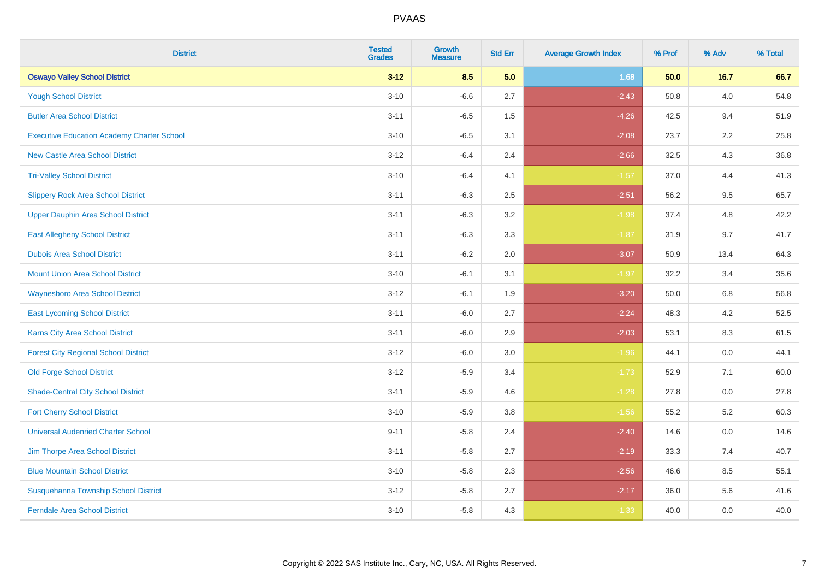| <b>District</b>                                   | <b>Tested</b><br><b>Grades</b> | <b>Growth</b><br><b>Measure</b> | <b>Std Err</b> | <b>Average Growth Index</b> | % Prof | % Adv | % Total |
|---------------------------------------------------|--------------------------------|---------------------------------|----------------|-----------------------------|--------|-------|---------|
| <b>Oswayo Valley School District</b>              | $3 - 12$                       | 8.5                             | 5.0            | 1.68                        | 50.0   | 16.7  | 66.7    |
| <b>Yough School District</b>                      | $3 - 10$                       | $-6.6$                          | 2.7            | $-2.43$                     | 50.8   | 4.0   | 54.8    |
| <b>Butler Area School District</b>                | $3 - 11$                       | $-6.5$                          | 1.5            | $-4.26$                     | 42.5   | 9.4   | 51.9    |
| <b>Executive Education Academy Charter School</b> | $3 - 10$                       | $-6.5$                          | 3.1            | $-2.08$                     | 23.7   | 2.2   | 25.8    |
| <b>New Castle Area School District</b>            | $3 - 12$                       | $-6.4$                          | 2.4            | $-2.66$                     | 32.5   | 4.3   | 36.8    |
| <b>Tri-Valley School District</b>                 | $3 - 10$                       | $-6.4$                          | 4.1            | $-1.57$                     | 37.0   | 4.4   | 41.3    |
| <b>Slippery Rock Area School District</b>         | $3 - 11$                       | $-6.3$                          | 2.5            | $-2.51$                     | 56.2   | 9.5   | 65.7    |
| <b>Upper Dauphin Area School District</b>         | $3 - 11$                       | $-6.3$                          | 3.2            | $-1.98$                     | 37.4   | 4.8   | 42.2    |
| <b>East Allegheny School District</b>             | $3 - 11$                       | $-6.3$                          | 3.3            | $-1.87$                     | 31.9   | 9.7   | 41.7    |
| <b>Dubois Area School District</b>                | $3 - 11$                       | $-6.2$                          | 2.0            | $-3.07$                     | 50.9   | 13.4  | 64.3    |
| <b>Mount Union Area School District</b>           | $3 - 10$                       | $-6.1$                          | 3.1            | $-1.97$                     | 32.2   | 3.4   | 35.6    |
| <b>Waynesboro Area School District</b>            | $3 - 12$                       | $-6.1$                          | 1.9            | $-3.20$                     | 50.0   | 6.8   | 56.8    |
| <b>East Lycoming School District</b>              | $3 - 11$                       | $-6.0$                          | 2.7            | $-2.24$                     | 48.3   | 4.2   | 52.5    |
| <b>Karns City Area School District</b>            | $3 - 11$                       | $-6.0$                          | 2.9            | $-2.03$                     | 53.1   | 8.3   | 61.5    |
| <b>Forest City Regional School District</b>       | $3 - 12$                       | $-6.0$                          | 3.0            | $-1.96$                     | 44.1   | 0.0   | 44.1    |
| <b>Old Forge School District</b>                  | $3 - 12$                       | $-5.9$                          | 3.4            | $-1.73$                     | 52.9   | 7.1   | 60.0    |
| <b>Shade-Central City School District</b>         | $3 - 11$                       | $-5.9$                          | 4.6            | $-1.28$                     | 27.8   | 0.0   | 27.8    |
| <b>Fort Cherry School District</b>                | $3 - 10$                       | $-5.9$                          | 3.8            | $-1.56$                     | 55.2   | 5.2   | 60.3    |
| <b>Universal Audenried Charter School</b>         | $9 - 11$                       | $-5.8$                          | 2.4            | $-2.40$                     | 14.6   | 0.0   | 14.6    |
| Jim Thorpe Area School District                   | $3 - 11$                       | $-5.8$                          | 2.7            | $-2.19$                     | 33.3   | 7.4   | 40.7    |
| <b>Blue Mountain School District</b>              | $3 - 10$                       | $-5.8$                          | 2.3            | $-2.56$                     | 46.6   | 8.5   | 55.1    |
| Susquehanna Township School District              | $3 - 12$                       | $-5.8$                          | 2.7            | $-2.17$                     | 36.0   | 5.6   | 41.6    |
| <b>Ferndale Area School District</b>              | $3 - 10$                       | $-5.8$                          | 4.3            | $-1.33$                     | 40.0   | 0.0   | 40.0    |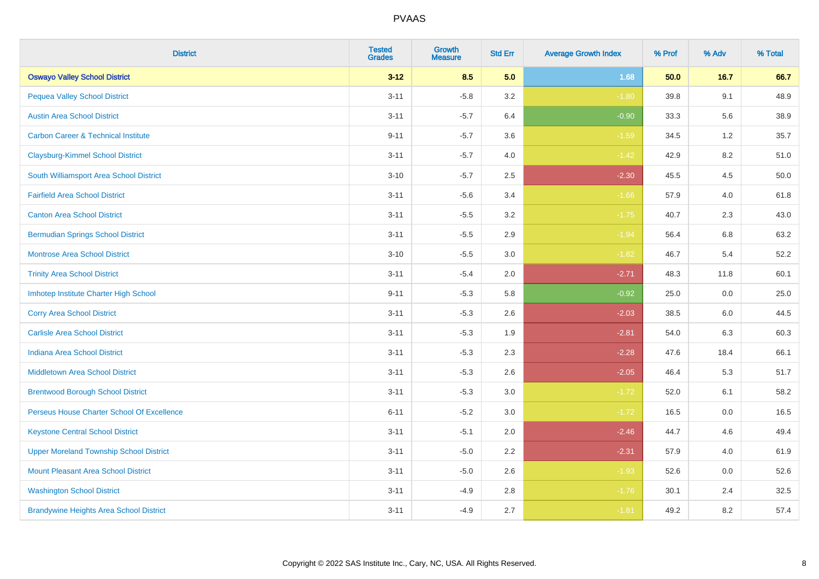| <b>District</b>                                | <b>Tested</b><br><b>Grades</b> | <b>Growth</b><br><b>Measure</b> | <b>Std Err</b> | <b>Average Growth Index</b> | % Prof | % Adv   | % Total |
|------------------------------------------------|--------------------------------|---------------------------------|----------------|-----------------------------|--------|---------|---------|
| <b>Oswayo Valley School District</b>           | $3 - 12$                       | 8.5                             | 5.0            | 1.68                        | 50.0   | $16.7$  | 66.7    |
| <b>Pequea Valley School District</b>           | $3 - 11$                       | $-5.8$                          | 3.2            | $-1.80$                     | 39.8   | 9.1     | 48.9    |
| <b>Austin Area School District</b>             | $3 - 11$                       | $-5.7$                          | 6.4            | $-0.90$                     | 33.3   | 5.6     | 38.9    |
| <b>Carbon Career &amp; Technical Institute</b> | $9 - 11$                       | $-5.7$                          | 3.6            | $-1.59$                     | 34.5   | $1.2\,$ | 35.7    |
| <b>Claysburg-Kimmel School District</b>        | $3 - 11$                       | $-5.7$                          | 4.0            | $-1.42$                     | 42.9   | 8.2     | 51.0    |
| South Williamsport Area School District        | $3 - 10$                       | $-5.7$                          | 2.5            | $-2.30$                     | 45.5   | 4.5     | 50.0    |
| <b>Fairfield Area School District</b>          | $3 - 11$                       | $-5.6$                          | 3.4            | $-1.66$                     | 57.9   | 4.0     | 61.8    |
| <b>Canton Area School District</b>             | $3 - 11$                       | $-5.5$                          | 3.2            | $-1.75$                     | 40.7   | 2.3     | 43.0    |
| <b>Bermudian Springs School District</b>       | $3 - 11$                       | $-5.5$                          | 2.9            | $-1.94$                     | 56.4   | 6.8     | 63.2    |
| <b>Montrose Area School District</b>           | $3 - 10$                       | $-5.5$                          | 3.0            | $-1.82$                     | 46.7   | 5.4     | 52.2    |
| <b>Trinity Area School District</b>            | $3 - 11$                       | $-5.4$                          | 2.0            | $-2.71$                     | 48.3   | 11.8    | 60.1    |
| Imhotep Institute Charter High School          | $9 - 11$                       | $-5.3$                          | 5.8            | $-0.92$                     | 25.0   | 0.0     | 25.0    |
| <b>Corry Area School District</b>              | $3 - 11$                       | $-5.3$                          | 2.6            | $-2.03$                     | 38.5   | 6.0     | 44.5    |
| <b>Carlisle Area School District</b>           | $3 - 11$                       | $-5.3$                          | 1.9            | $-2.81$                     | 54.0   | 6.3     | 60.3    |
| <b>Indiana Area School District</b>            | $3 - 11$                       | $-5.3$                          | 2.3            | $-2.28$                     | 47.6   | 18.4    | 66.1    |
| <b>Middletown Area School District</b>         | $3 - 11$                       | $-5.3$                          | 2.6            | $-2.05$                     | 46.4   | 5.3     | 51.7    |
| <b>Brentwood Borough School District</b>       | $3 - 11$                       | $-5.3$                          | 3.0            | $-1.72$                     | 52.0   | 6.1     | 58.2    |
| Perseus House Charter School Of Excellence     | $6 - 11$                       | $-5.2$                          | 3.0            | $-1.72$                     | 16.5   | 0.0     | 16.5    |
| <b>Keystone Central School District</b>        | $3 - 11$                       | $-5.1$                          | 2.0            | $-2.46$                     | 44.7   | 4.6     | 49.4    |
| <b>Upper Moreland Township School District</b> | $3 - 11$                       | $-5.0$                          | 2.2            | $-2.31$                     | 57.9   | 4.0     | 61.9    |
| <b>Mount Pleasant Area School District</b>     | $3 - 11$                       | $-5.0$                          | 2.6            | $-1.93$                     | 52.6   | 0.0     | 52.6    |
| <b>Washington School District</b>              | $3 - 11$                       | $-4.9$                          | 2.8            | $-1.76$                     | 30.1   | 2.4     | 32.5    |
| <b>Brandywine Heights Area School District</b> | $3 - 11$                       | $-4.9$                          | 2.7            | $-1.81$                     | 49.2   | 8.2     | 57.4    |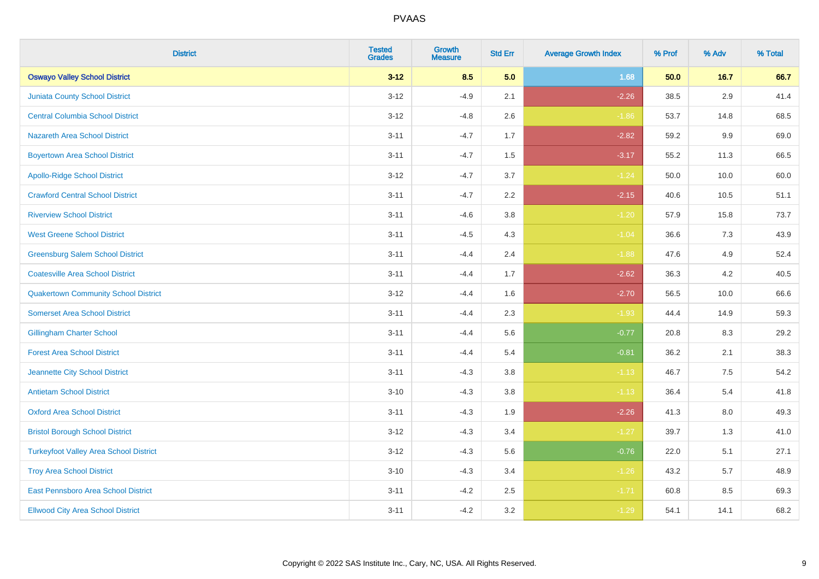| <b>District</b>                               | <b>Tested</b><br><b>Grades</b> | <b>Growth</b><br><b>Measure</b> | <b>Std Err</b> | <b>Average Growth Index</b> | % Prof | % Adv   | % Total |
|-----------------------------------------------|--------------------------------|---------------------------------|----------------|-----------------------------|--------|---------|---------|
| <b>Oswayo Valley School District</b>          | $3 - 12$                       | 8.5                             | 5.0            | 1.68                        | 50.0   | 16.7    | 66.7    |
| <b>Juniata County School District</b>         | $3 - 12$                       | $-4.9$                          | 2.1            | $-2.26$                     | 38.5   | 2.9     | 41.4    |
| <b>Central Columbia School District</b>       | $3 - 12$                       | $-4.8$                          | 2.6            | $-1.86$                     | 53.7   | 14.8    | 68.5    |
| <b>Nazareth Area School District</b>          | $3 - 11$                       | $-4.7$                          | 1.7            | $-2.82$                     | 59.2   | 9.9     | 69.0    |
| <b>Boyertown Area School District</b>         | $3 - 11$                       | $-4.7$                          | 1.5            | $-3.17$                     | 55.2   | 11.3    | 66.5    |
| <b>Apollo-Ridge School District</b>           | $3 - 12$                       | $-4.7$                          | 3.7            | $-1.24$                     | 50.0   | 10.0    | 60.0    |
| <b>Crawford Central School District</b>       | $3 - 11$                       | $-4.7$                          | 2.2            | $-2.15$                     | 40.6   | 10.5    | 51.1    |
| <b>Riverview School District</b>              | $3 - 11$                       | $-4.6$                          | 3.8            | $-1.20$                     | 57.9   | 15.8    | 73.7    |
| <b>West Greene School District</b>            | $3 - 11$                       | $-4.5$                          | 4.3            | $-1.04$                     | 36.6   | 7.3     | 43.9    |
| <b>Greensburg Salem School District</b>       | $3 - 11$                       | $-4.4$                          | 2.4            | $-1.88$                     | 47.6   | 4.9     | 52.4    |
| <b>Coatesville Area School District</b>       | $3 - 11$                       | $-4.4$                          | 1.7            | $-2.62$                     | 36.3   | 4.2     | 40.5    |
| <b>Quakertown Community School District</b>   | $3 - 12$                       | $-4.4$                          | 1.6            | $-2.70$                     | 56.5   | 10.0    | 66.6    |
| <b>Somerset Area School District</b>          | $3 - 11$                       | $-4.4$                          | 2.3            | $-1.93$                     | 44.4   | 14.9    | 59.3    |
| <b>Gillingham Charter School</b>              | $3 - 11$                       | $-4.4$                          | 5.6            | $-0.77$                     | 20.8   | 8.3     | 29.2    |
| <b>Forest Area School District</b>            | $3 - 11$                       | $-4.4$                          | 5.4            | $-0.81$                     | 36.2   | 2.1     | 38.3    |
| Jeannette City School District                | $3 - 11$                       | $-4.3$                          | 3.8            | $-1.13$                     | 46.7   | $7.5\,$ | 54.2    |
| <b>Antietam School District</b>               | $3 - 10$                       | $-4.3$                          | 3.8            | $-1.13$                     | 36.4   | 5.4     | 41.8    |
| <b>Oxford Area School District</b>            | $3 - 11$                       | $-4.3$                          | 1.9            | $-2.26$                     | 41.3   | 8.0     | 49.3    |
| <b>Bristol Borough School District</b>        | $3 - 12$                       | $-4.3$                          | 3.4            | $-1.27$                     | 39.7   | 1.3     | 41.0    |
| <b>Turkeyfoot Valley Area School District</b> | $3 - 12$                       | $-4.3$                          | 5.6            | $-0.76$                     | 22.0   | 5.1     | 27.1    |
| <b>Troy Area School District</b>              | $3 - 10$                       | $-4.3$                          | 3.4            | $-1.26$                     | 43.2   | 5.7     | 48.9    |
| East Pennsboro Area School District           | $3 - 11$                       | $-4.2$                          | 2.5            | $-1.71$                     | 60.8   | 8.5     | 69.3    |
| <b>Ellwood City Area School District</b>      | $3 - 11$                       | $-4.2$                          | 3.2            | $-1.29$                     | 54.1   | 14.1    | 68.2    |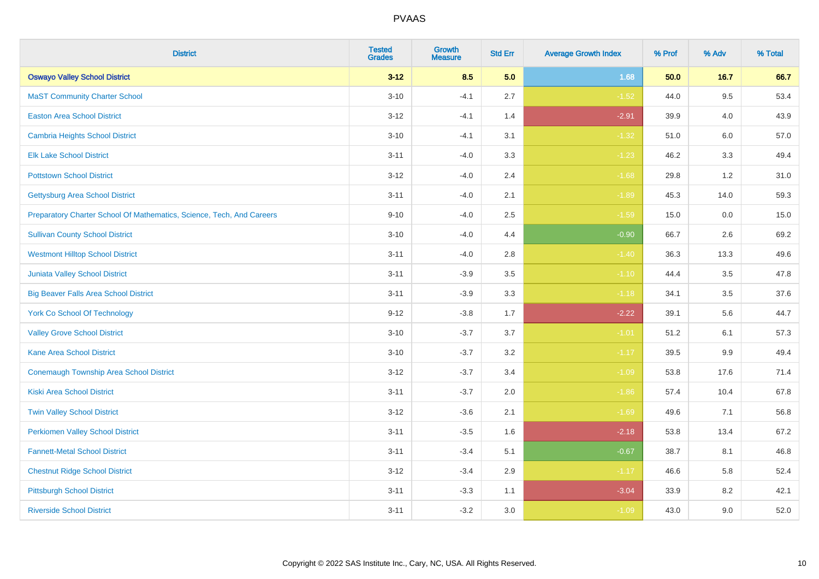| <b>District</b>                                                       | <b>Tested</b><br><b>Grades</b> | <b>Growth</b><br><b>Measure</b> | <b>Std Err</b> | <b>Average Growth Index</b> | % Prof | % Adv   | % Total |
|-----------------------------------------------------------------------|--------------------------------|---------------------------------|----------------|-----------------------------|--------|---------|---------|
| <b>Oswayo Valley School District</b>                                  | $3 - 12$                       | 8.5                             | 5.0            | 1.68                        | 50.0   | 16.7    | 66.7    |
| <b>MaST Community Charter School</b>                                  | $3 - 10$                       | $-4.1$                          | 2.7            | $-1.52$                     | 44.0   | 9.5     | 53.4    |
| <b>Easton Area School District</b>                                    | $3 - 12$                       | $-4.1$                          | 1.4            | $-2.91$                     | 39.9   | 4.0     | 43.9    |
| Cambria Heights School District                                       | $3 - 10$                       | $-4.1$                          | 3.1            | $-1.32$                     | 51.0   | $6.0\,$ | 57.0    |
| <b>Elk Lake School District</b>                                       | $3 - 11$                       | $-4.0$                          | 3.3            | $-1.23$                     | 46.2   | 3.3     | 49.4    |
| <b>Pottstown School District</b>                                      | $3 - 12$                       | $-4.0$                          | 2.4            | $-1.68$                     | 29.8   | 1.2     | 31.0    |
| <b>Gettysburg Area School District</b>                                | $3 - 11$                       | $-4.0$                          | 2.1            | $-1.89$                     | 45.3   | 14.0    | 59.3    |
| Preparatory Charter School Of Mathematics, Science, Tech, And Careers | $9 - 10$                       | $-4.0$                          | 2.5            | $-1.59$                     | 15.0   | 0.0     | 15.0    |
| <b>Sullivan County School District</b>                                | $3 - 10$                       | $-4.0$                          | 4.4            | $-0.90$                     | 66.7   | 2.6     | 69.2    |
| <b>Westmont Hilltop School District</b>                               | $3 - 11$                       | $-4.0$                          | 2.8            | $-1.40$                     | 36.3   | 13.3    | 49.6    |
| <b>Juniata Valley School District</b>                                 | $3 - 11$                       | $-3.9$                          | 3.5            | $-1.10$                     | 44.4   | 3.5     | 47.8    |
| <b>Big Beaver Falls Area School District</b>                          | $3 - 11$                       | $-3.9$                          | 3.3            | $-1.18$                     | 34.1   | 3.5     | 37.6    |
| <b>York Co School Of Technology</b>                                   | $9 - 12$                       | $-3.8$                          | 1.7            | $-2.22$                     | 39.1   | 5.6     | 44.7    |
| <b>Valley Grove School District</b>                                   | $3 - 10$                       | $-3.7$                          | 3.7            | $-1.01$                     | 51.2   | 6.1     | 57.3    |
| <b>Kane Area School District</b>                                      | $3 - 10$                       | $-3.7$                          | 3.2            | $-1.17$                     | 39.5   | 9.9     | 49.4    |
| <b>Conemaugh Township Area School District</b>                        | $3 - 12$                       | $-3.7$                          | 3.4            | $-1.09$                     | 53.8   | 17.6    | 71.4    |
| <b>Kiski Area School District</b>                                     | $3 - 11$                       | $-3.7$                          | 2.0            | $-1.86$                     | 57.4   | 10.4    | 67.8    |
| <b>Twin Valley School District</b>                                    | $3 - 12$                       | $-3.6$                          | 2.1            | $-1.69$                     | 49.6   | 7.1     | 56.8    |
| <b>Perkiomen Valley School District</b>                               | $3 - 11$                       | $-3.5$                          | 1.6            | $-2.18$                     | 53.8   | 13.4    | 67.2    |
| <b>Fannett-Metal School District</b>                                  | $3 - 11$                       | $-3.4$                          | 5.1            | $-0.67$                     | 38.7   | 8.1     | 46.8    |
| <b>Chestnut Ridge School District</b>                                 | $3 - 12$                       | $-3.4$                          | 2.9            | $-1.17$                     | 46.6   | 5.8     | 52.4    |
| <b>Pittsburgh School District</b>                                     | $3 - 11$                       | $-3.3$                          | 1.1            | $-3.04$                     | 33.9   | 8.2     | 42.1    |
| <b>Riverside School District</b>                                      | $3 - 11$                       | $-3.2$                          | 3.0            | $-1.09$                     | 43.0   | 9.0     | 52.0    |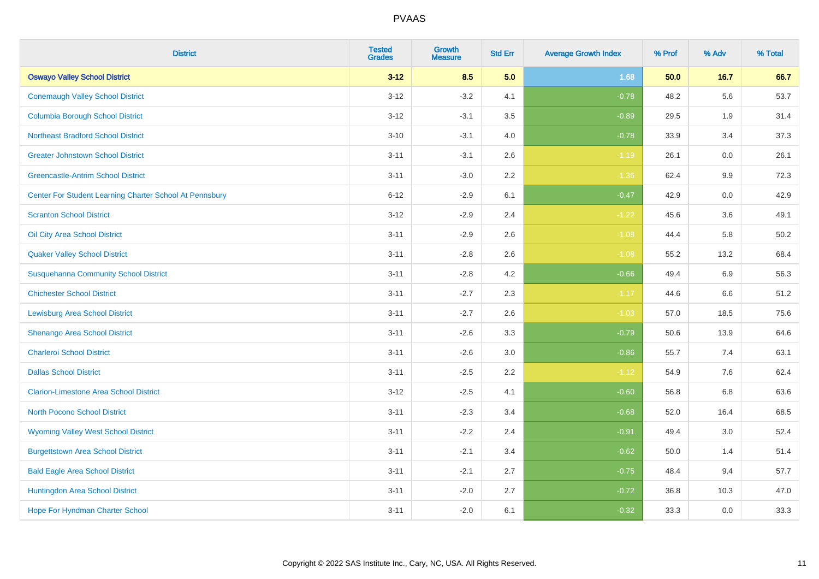| <b>District</b>                                         | <b>Tested</b><br><b>Grades</b> | <b>Growth</b><br><b>Measure</b> | <b>Std Err</b> | <b>Average Growth Index</b> | % Prof | % Adv   | % Total |
|---------------------------------------------------------|--------------------------------|---------------------------------|----------------|-----------------------------|--------|---------|---------|
| <b>Oswayo Valley School District</b>                    | $3 - 12$                       | 8.5                             | 5.0            | 1.68                        | 50.0   | 16.7    | 66.7    |
| <b>Conemaugh Valley School District</b>                 | $3 - 12$                       | $-3.2$                          | 4.1            | $-0.78$                     | 48.2   | 5.6     | 53.7    |
| <b>Columbia Borough School District</b>                 | $3 - 12$                       | $-3.1$                          | 3.5            | $-0.89$                     | 29.5   | 1.9     | 31.4    |
| <b>Northeast Bradford School District</b>               | $3 - 10$                       | $-3.1$                          | 4.0            | $-0.78$                     | 33.9   | 3.4     | 37.3    |
| <b>Greater Johnstown School District</b>                | $3 - 11$                       | $-3.1$                          | 2.6            | $-1.19$                     | 26.1   | 0.0     | 26.1    |
| <b>Greencastle-Antrim School District</b>               | $3 - 11$                       | $-3.0$                          | 2.2            | $-1.36$                     | 62.4   | 9.9     | 72.3    |
| Center For Student Learning Charter School At Pennsbury | $6 - 12$                       | $-2.9$                          | 6.1            | $-0.47$                     | 42.9   | 0.0     | 42.9    |
| <b>Scranton School District</b>                         | $3 - 12$                       | $-2.9$                          | 2.4            | $-1.22$                     | 45.6   | 3.6     | 49.1    |
| Oil City Area School District                           | $3 - 11$                       | $-2.9$                          | 2.6            | $-1.08$                     | 44.4   | 5.8     | 50.2    |
| <b>Quaker Valley School District</b>                    | $3 - 11$                       | $-2.8$                          | 2.6            | $-1.08$                     | 55.2   | 13.2    | 68.4    |
| <b>Susquehanna Community School District</b>            | $3 - 11$                       | $-2.8$                          | 4.2            | $-0.66$                     | 49.4   | 6.9     | 56.3    |
| <b>Chichester School District</b>                       | $3 - 11$                       | $-2.7$                          | 2.3            | $-1.17$                     | 44.6   | 6.6     | 51.2    |
| <b>Lewisburg Area School District</b>                   | $3 - 11$                       | $-2.7$                          | 2.6            | $-1.03$                     | 57.0   | 18.5    | 75.6    |
| Shenango Area School District                           | $3 - 11$                       | $-2.6$                          | 3.3            | $-0.79$                     | 50.6   | 13.9    | 64.6    |
| <b>Charleroi School District</b>                        | $3 - 11$                       | $-2.6$                          | 3.0            | $-0.86$                     | 55.7   | 7.4     | 63.1    |
| <b>Dallas School District</b>                           | $3 - 11$                       | $-2.5$                          | 2.2            | $-1.12$                     | 54.9   | $7.6\,$ | 62.4    |
| <b>Clarion-Limestone Area School District</b>           | $3 - 12$                       | $-2.5$                          | 4.1            | $-0.60$                     | 56.8   | 6.8     | 63.6    |
| North Pocono School District                            | $3 - 11$                       | $-2.3$                          | 3.4            | $-0.68$                     | 52.0   | 16.4    | 68.5    |
| <b>Wyoming Valley West School District</b>              | $3 - 11$                       | $-2.2$                          | 2.4            | $-0.91$                     | 49.4   | 3.0     | 52.4    |
| <b>Burgettstown Area School District</b>                | $3 - 11$                       | $-2.1$                          | 3.4            | $-0.62$                     | 50.0   | 1.4     | 51.4    |
| <b>Bald Eagle Area School District</b>                  | $3 - 11$                       | $-2.1$                          | 2.7            | $-0.75$                     | 48.4   | 9.4     | 57.7    |
| Huntingdon Area School District                         | $3 - 11$                       | $-2.0$                          | 2.7            | $-0.72$                     | 36.8   | 10.3    | 47.0    |
| <b>Hope For Hyndman Charter School</b>                  | $3 - 11$                       | $-2.0$                          | 6.1            | $-0.32$                     | 33.3   | 0.0     | 33.3    |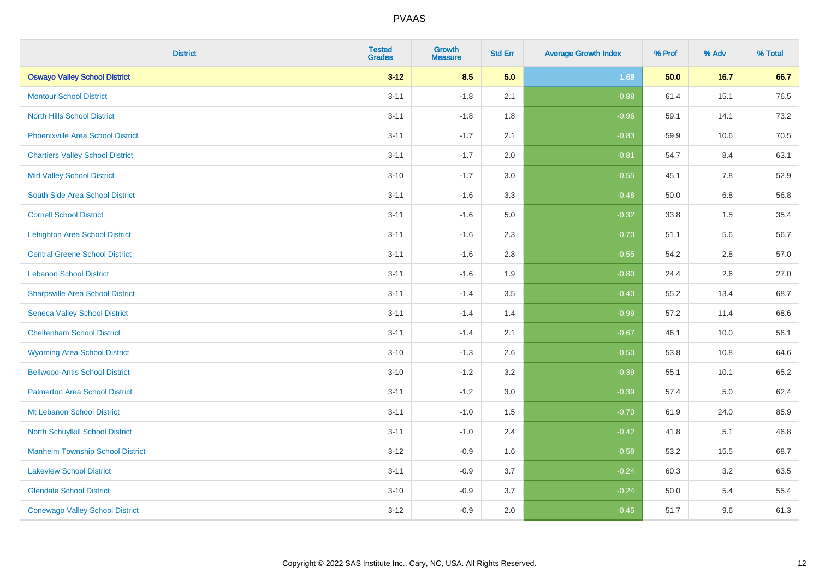| <b>District</b>                          | <b>Tested</b><br><b>Grades</b> | <b>Growth</b><br><b>Measure</b> | <b>Std Err</b> | <b>Average Growth Index</b> | % Prof | % Adv | % Total |
|------------------------------------------|--------------------------------|---------------------------------|----------------|-----------------------------|--------|-------|---------|
| <b>Oswayo Valley School District</b>     | $3 - 12$                       | 8.5                             | 5.0            | 1.68                        | 50.0   | 16.7  | 66.7    |
| <b>Montour School District</b>           | $3 - 11$                       | $-1.8$                          | 2.1            | $-0.88$                     | 61.4   | 15.1  | 76.5    |
| <b>North Hills School District</b>       | $3 - 11$                       | $-1.8$                          | 1.8            | $-0.96$                     | 59.1   | 14.1  | 73.2    |
| <b>Phoenixville Area School District</b> | $3 - 11$                       | $-1.7$                          | 2.1            | $-0.83$                     | 59.9   | 10.6  | 70.5    |
| <b>Chartiers Valley School District</b>  | $3 - 11$                       | $-1.7$                          | 2.0            | $-0.81$                     | 54.7   | 8.4   | 63.1    |
| <b>Mid Valley School District</b>        | $3 - 10$                       | $-1.7$                          | 3.0            | $-0.55$                     | 45.1   | 7.8   | 52.9    |
| South Side Area School District          | $3 - 11$                       | $-1.6$                          | 3.3            | $-0.48$                     | 50.0   | 6.8   | 56.8    |
| <b>Cornell School District</b>           | $3 - 11$                       | $-1.6$                          | 5.0            | $-0.32$                     | 33.8   | 1.5   | 35.4    |
| <b>Lehighton Area School District</b>    | $3 - 11$                       | $-1.6$                          | 2.3            | $-0.70$                     | 51.1   | 5.6   | 56.7    |
| <b>Central Greene School District</b>    | $3 - 11$                       | $-1.6$                          | 2.8            | $-0.55$                     | 54.2   | 2.8   | 57.0    |
| <b>Lebanon School District</b>           | $3 - 11$                       | $-1.6$                          | 1.9            | $-0.80$                     | 24.4   | 2.6   | 27.0    |
| <b>Sharpsville Area School District</b>  | $3 - 11$                       | $-1.4$                          | 3.5            | $-0.40$                     | 55.2   | 13.4  | 68.7    |
| <b>Seneca Valley School District</b>     | $3 - 11$                       | $-1.4$                          | 1.4            | $-0.99$                     | 57.2   | 11.4  | 68.6    |
| <b>Cheltenham School District</b>        | $3 - 11$                       | $-1.4$                          | 2.1            | $-0.67$                     | 46.1   | 10.0  | 56.1    |
| <b>Wyoming Area School District</b>      | $3 - 10$                       | $-1.3$                          | 2.6            | $-0.50$                     | 53.8   | 10.8  | 64.6    |
| <b>Bellwood-Antis School District</b>    | $3 - 10$                       | $-1.2$                          | 3.2            | $-0.39$                     | 55.1   | 10.1  | 65.2    |
| <b>Palmerton Area School District</b>    | $3 - 11$                       | $-1.2$                          | 3.0            | $-0.39$                     | 57.4   | 5.0   | 62.4    |
| Mt Lebanon School District               | $3 - 11$                       | $-1.0$                          | 1.5            | $-0.70$                     | 61.9   | 24.0  | 85.9    |
| <b>North Schuylkill School District</b>  | $3 - 11$                       | $-1.0$                          | 2.4            | $-0.42$                     | 41.8   | 5.1   | 46.8    |
| <b>Manheim Township School District</b>  | $3 - 12$                       | $-0.9$                          | 1.6            | $-0.58$                     | 53.2   | 15.5  | 68.7    |
| <b>Lakeview School District</b>          | $3 - 11$                       | $-0.9$                          | 3.7            | $-0.24$                     | 60.3   | 3.2   | 63.5    |
| <b>Glendale School District</b>          | $3 - 10$                       | $-0.9$                          | 3.7            | $-0.24$                     | 50.0   | 5.4   | 55.4    |
| <b>Conewago Valley School District</b>   | $3 - 12$                       | $-0.9$                          | 2.0            | $-0.45$                     | 51.7   | 9.6   | 61.3    |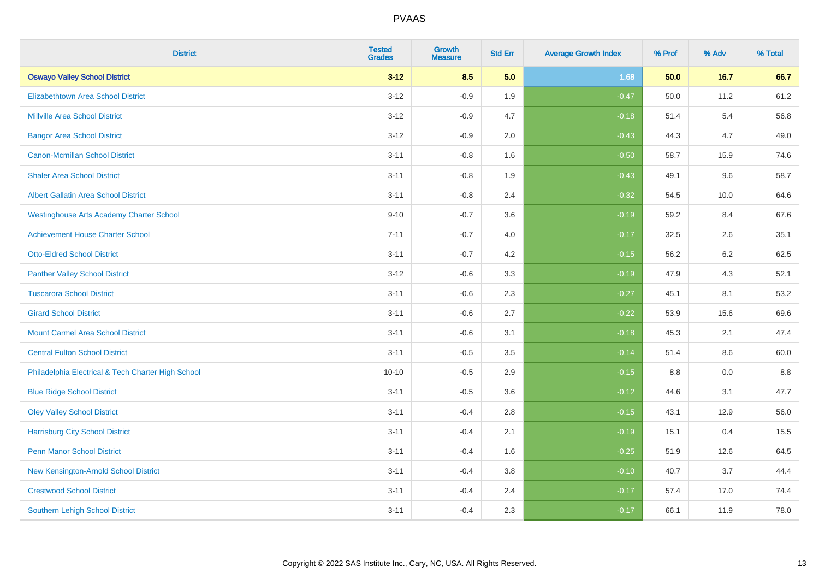| <b>District</b>                                    | <b>Tested</b><br><b>Grades</b> | <b>Growth</b><br><b>Measure</b> | <b>Std Err</b> | <b>Average Growth Index</b> | % Prof | % Adv | % Total |
|----------------------------------------------------|--------------------------------|---------------------------------|----------------|-----------------------------|--------|-------|---------|
| <b>Oswayo Valley School District</b>               | $3 - 12$                       | 8.5                             | 5.0            | 1.68                        | 50.0   | 16.7  | 66.7    |
| <b>Elizabethtown Area School District</b>          | $3 - 12$                       | $-0.9$                          | 1.9            | $-0.47$                     | 50.0   | 11.2  | 61.2    |
| <b>Millville Area School District</b>              | $3 - 12$                       | $-0.9$                          | 4.7            | $-0.18$                     | 51.4   | 5.4   | 56.8    |
| <b>Bangor Area School District</b>                 | $3 - 12$                       | $-0.9$                          | 2.0            | $-0.43$                     | 44.3   | 4.7   | 49.0    |
| <b>Canon-Mcmillan School District</b>              | $3 - 11$                       | $-0.8$                          | 1.6            | $-0.50$                     | 58.7   | 15.9  | 74.6    |
| <b>Shaler Area School District</b>                 | $3 - 11$                       | $-0.8$                          | 1.9            | $-0.43$                     | 49.1   | 9.6   | 58.7    |
| <b>Albert Gallatin Area School District</b>        | $3 - 11$                       | $-0.8$                          | 2.4            | $-0.32$                     | 54.5   | 10.0  | 64.6    |
| <b>Westinghouse Arts Academy Charter School</b>    | $9 - 10$                       | $-0.7$                          | 3.6            | $-0.19$                     | 59.2   | 8.4   | 67.6    |
| <b>Achievement House Charter School</b>            | $7 - 11$                       | $-0.7$                          | 4.0            | $-0.17$                     | 32.5   | 2.6   | 35.1    |
| <b>Otto-Eldred School District</b>                 | $3 - 11$                       | $-0.7$                          | 4.2            | $-0.15$                     | 56.2   | 6.2   | 62.5    |
| <b>Panther Valley School District</b>              | $3-12$                         | $-0.6$                          | 3.3            | $-0.19$                     | 47.9   | 4.3   | 52.1    |
| <b>Tuscarora School District</b>                   | $3 - 11$                       | $-0.6$                          | 2.3            | $-0.27$                     | 45.1   | 8.1   | 53.2    |
| <b>Girard School District</b>                      | $3 - 11$                       | $-0.6$                          | 2.7            | $-0.22$                     | 53.9   | 15.6  | 69.6    |
| <b>Mount Carmel Area School District</b>           | $3 - 11$                       | $-0.6$                          | 3.1            | $-0.18$                     | 45.3   | 2.1   | 47.4    |
| <b>Central Fulton School District</b>              | $3 - 11$                       | $-0.5$                          | 3.5            | $-0.14$                     | 51.4   | 8.6   | 60.0    |
| Philadelphia Electrical & Tech Charter High School | $10 - 10$                      | $-0.5$                          | 2.9            | $-0.15$                     | 8.8    | 0.0   | 8.8     |
| <b>Blue Ridge School District</b>                  | $3 - 11$                       | $-0.5$                          | 3.6            | $-0.12$                     | 44.6   | 3.1   | 47.7    |
| <b>Oley Valley School District</b>                 | $3 - 11$                       | $-0.4$                          | 2.8            | $-0.15$                     | 43.1   | 12.9  | 56.0    |
| <b>Harrisburg City School District</b>             | $3 - 11$                       | $-0.4$                          | 2.1            | $-0.19$                     | 15.1   | 0.4   | 15.5    |
| <b>Penn Manor School District</b>                  | $3 - 11$                       | $-0.4$                          | 1.6            | $-0.25$                     | 51.9   | 12.6  | 64.5    |
| New Kensington-Arnold School District              | $3 - 11$                       | $-0.4$                          | 3.8            | $-0.10$                     | 40.7   | 3.7   | 44.4    |
| <b>Crestwood School District</b>                   | $3 - 11$                       | $-0.4$                          | 2.4            | $-0.17$                     | 57.4   | 17.0  | 74.4    |
| <b>Southern Lehigh School District</b>             | $3 - 11$                       | $-0.4$                          | 2.3            | $-0.17$                     | 66.1   | 11.9  | 78.0    |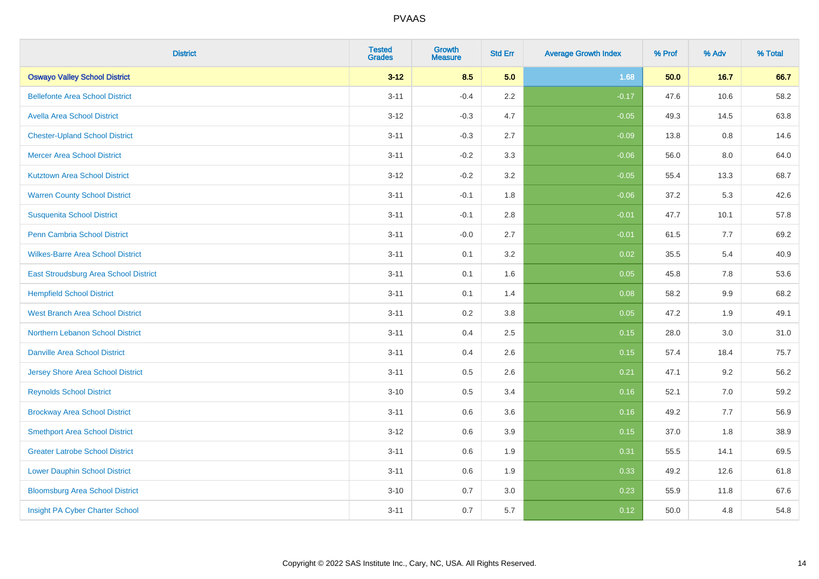| <b>District</b>                          | <b>Tested</b><br><b>Grades</b> | <b>Growth</b><br><b>Measure</b> | <b>Std Err</b> | <b>Average Growth Index</b> | % Prof | % Adv | % Total |
|------------------------------------------|--------------------------------|---------------------------------|----------------|-----------------------------|--------|-------|---------|
| <b>Oswayo Valley School District</b>     | $3 - 12$                       | 8.5                             | 5.0            | 1.68                        | 50.0   | 16.7  | 66.7    |
| <b>Bellefonte Area School District</b>   | $3 - 11$                       | $-0.4$                          | $2.2\,$        | $-0.17$                     | 47.6   | 10.6  | 58.2    |
| <b>Avella Area School District</b>       | $3 - 12$                       | $-0.3$                          | 4.7            | $-0.05$                     | 49.3   | 14.5  | 63.8    |
| <b>Chester-Upland School District</b>    | $3 - 11$                       | $-0.3$                          | 2.7            | $-0.09$                     | 13.8   | 0.8   | 14.6    |
| <b>Mercer Area School District</b>       | $3 - 11$                       | $-0.2$                          | 3.3            | $-0.06$                     | 56.0   | 8.0   | 64.0    |
| <b>Kutztown Area School District</b>     | $3 - 12$                       | $-0.2$                          | 3.2            | $-0.05$                     | 55.4   | 13.3  | 68.7    |
| <b>Warren County School District</b>     | $3 - 11$                       | $-0.1$                          | 1.8            | $-0.06$                     | 37.2   | 5.3   | 42.6    |
| <b>Susquenita School District</b>        | $3 - 11$                       | $-0.1$                          | 2.8            | $-0.01$                     | 47.7   | 10.1  | 57.8    |
| Penn Cambria School District             | $3 - 11$                       | $-0.0$                          | 2.7            | $-0.01$                     | 61.5   | 7.7   | 69.2    |
| <b>Wilkes-Barre Area School District</b> | $3 - 11$                       | 0.1                             | 3.2            | 0.02                        | 35.5   | 5.4   | 40.9    |
| East Stroudsburg Area School District    | $3 - 11$                       | 0.1                             | 1.6            | 0.05                        | 45.8   | 7.8   | 53.6    |
| <b>Hempfield School District</b>         | $3 - 11$                       | 0.1                             | 1.4            | 0.08                        | 58.2   | 9.9   | 68.2    |
| <b>West Branch Area School District</b>  | $3 - 11$                       | 0.2                             | $3.8\,$        | 0.05                        | 47.2   | 1.9   | 49.1    |
| Northern Lebanon School District         | $3 - 11$                       | 0.4                             | 2.5            | 0.15                        | 28.0   | 3.0   | 31.0    |
| <b>Danville Area School District</b>     | $3 - 11$                       | 0.4                             | 2.6            | 0.15                        | 57.4   | 18.4  | 75.7    |
| <b>Jersey Shore Area School District</b> | $3 - 11$                       | $0.5\,$                         | 2.6            | 0.21                        | 47.1   | 9.2   | 56.2    |
| <b>Reynolds School District</b>          | $3 - 10$                       | 0.5                             | 3.4            | 0.16                        | 52.1   | 7.0   | 59.2    |
| <b>Brockway Area School District</b>     | $3 - 11$                       | 0.6                             | 3.6            | 0.16                        | 49.2   | 7.7   | 56.9    |
| <b>Smethport Area School District</b>    | $3 - 12$                       | 0.6                             | 3.9            | 0.15                        | 37.0   | 1.8   | 38.9    |
| <b>Greater Latrobe School District</b>   | $3 - 11$                       | 0.6                             | 1.9            | 0.31                        | 55.5   | 14.1  | 69.5    |
| <b>Lower Dauphin School District</b>     | $3 - 11$                       | 0.6                             | 1.9            | 0.33                        | 49.2   | 12.6  | 61.8    |
| <b>Bloomsburg Area School District</b>   | $3 - 10$                       | 0.7                             | 3.0            | 0.23                        | 55.9   | 11.8  | 67.6    |
| Insight PA Cyber Charter School          | $3 - 11$                       | 0.7                             | 5.7            | 0.12                        | 50.0   | 4.8   | 54.8    |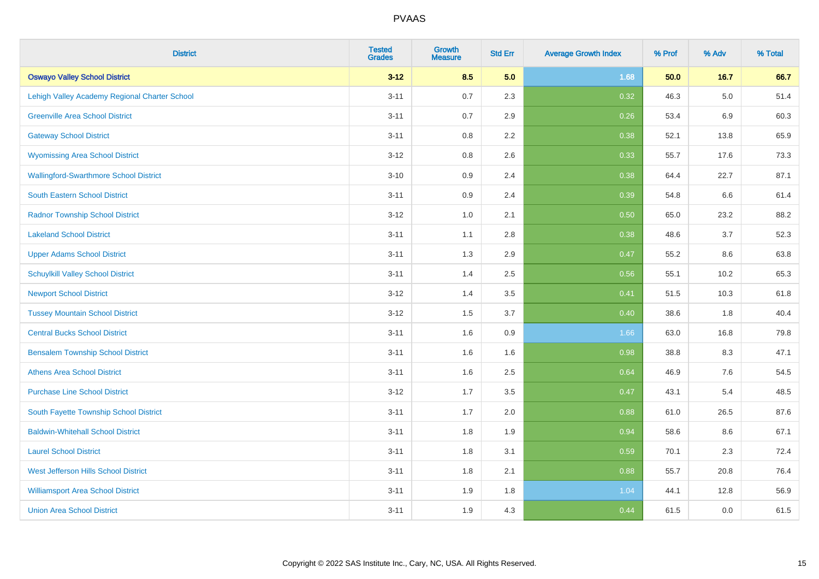| <b>District</b>                               | <b>Tested</b><br><b>Grades</b> | <b>Growth</b><br><b>Measure</b> | <b>Std Err</b> | <b>Average Growth Index</b> | % Prof | % Adv | % Total |
|-----------------------------------------------|--------------------------------|---------------------------------|----------------|-----------------------------|--------|-------|---------|
| <b>Oswayo Valley School District</b>          | $3 - 12$                       | 8.5                             | 5.0            | 1.68                        | 50.0   | 16.7  | 66.7    |
| Lehigh Valley Academy Regional Charter School | $3 - 11$                       | $0.7\,$                         | 2.3            | 0.32                        | 46.3   | 5.0   | 51.4    |
| <b>Greenville Area School District</b>        | $3 - 11$                       | 0.7                             | 2.9            | 0.26                        | 53.4   | 6.9   | 60.3    |
| <b>Gateway School District</b>                | $3 - 11$                       | 0.8                             | 2.2            | 0.38                        | 52.1   | 13.8  | 65.9    |
| <b>Wyomissing Area School District</b>        | $3 - 12$                       | 0.8                             | 2.6            | 0.33                        | 55.7   | 17.6  | 73.3    |
| <b>Wallingford-Swarthmore School District</b> | $3 - 10$                       | 0.9                             | 2.4            | 0.38                        | 64.4   | 22.7  | 87.1    |
| South Eastern School District                 | $3 - 11$                       | 0.9                             | 2.4            | 0.39                        | 54.8   | 6.6   | 61.4    |
| <b>Radnor Township School District</b>        | $3 - 12$                       | 1.0                             | 2.1            | 0.50                        | 65.0   | 23.2  | 88.2    |
| <b>Lakeland School District</b>               | $3 - 11$                       | 1.1                             | 2.8            | 0.38                        | 48.6   | 3.7   | 52.3    |
| <b>Upper Adams School District</b>            | $3 - 11$                       | 1.3                             | 2.9            | 0.47                        | 55.2   | 8.6   | 63.8    |
| <b>Schuylkill Valley School District</b>      | $3 - 11$                       | 1.4                             | 2.5            | 0.56                        | 55.1   | 10.2  | 65.3    |
| <b>Newport School District</b>                | $3 - 12$                       | 1.4                             | 3.5            | 0.41                        | 51.5   | 10.3  | 61.8    |
| <b>Tussey Mountain School District</b>        | $3 - 12$                       | 1.5                             | 3.7            | 0.40                        | 38.6   | 1.8   | 40.4    |
| <b>Central Bucks School District</b>          | $3 - 11$                       | 1.6                             | 0.9            | 1.66                        | 63.0   | 16.8  | 79.8    |
| <b>Bensalem Township School District</b>      | $3 - 11$                       | 1.6                             | 1.6            | 0.98                        | 38.8   | 8.3   | 47.1    |
| <b>Athens Area School District</b>            | $3 - 11$                       | 1.6                             | 2.5            | 0.64                        | 46.9   | 7.6   | 54.5    |
| <b>Purchase Line School District</b>          | $3 - 12$                       | 1.7                             | 3.5            | 0.47                        | 43.1   | 5.4   | 48.5    |
| South Fayette Township School District        | $3 - 11$                       | 1.7                             | 2.0            | 0.88                        | 61.0   | 26.5  | 87.6    |
| <b>Baldwin-Whitehall School District</b>      | $3 - 11$                       | 1.8                             | 1.9            | 0.94                        | 58.6   | 8.6   | 67.1    |
| <b>Laurel School District</b>                 | $3 - 11$                       | 1.8                             | 3.1            | 0.59                        | 70.1   | 2.3   | 72.4    |
| <b>West Jefferson Hills School District</b>   | $3 - 11$                       | 1.8                             | 2.1            | 0.88                        | 55.7   | 20.8  | 76.4    |
| <b>Williamsport Area School District</b>      | $3 - 11$                       | 1.9                             | 1.8            | 1.04                        | 44.1   | 12.8  | 56.9    |
| <b>Union Area School District</b>             | $3 - 11$                       | 1.9                             | 4.3            | 0.44                        | 61.5   | 0.0   | 61.5    |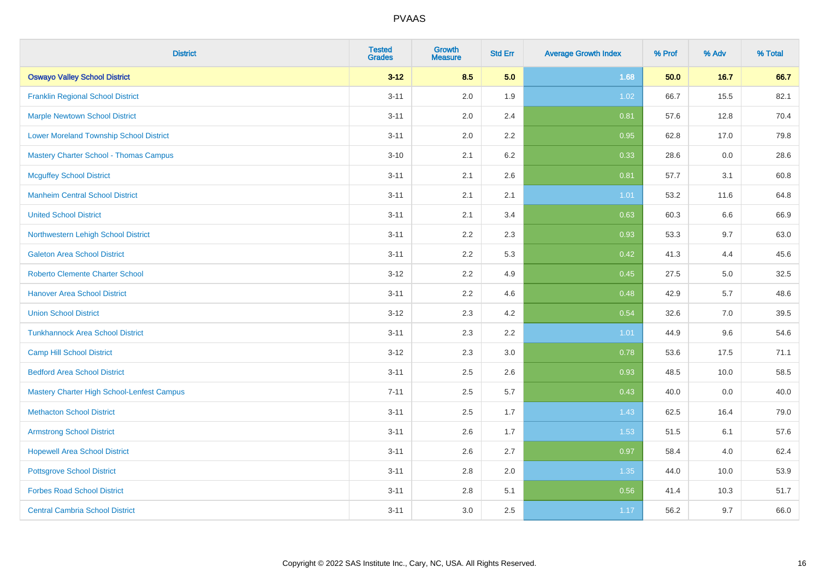| <b>District</b>                                   | <b>Tested</b><br><b>Grades</b> | <b>Growth</b><br><b>Measure</b> | <b>Std Err</b> | <b>Average Growth Index</b> | % Prof | % Adv | % Total |
|---------------------------------------------------|--------------------------------|---------------------------------|----------------|-----------------------------|--------|-------|---------|
| <b>Oswayo Valley School District</b>              | $3 - 12$                       | 8.5                             | 5.0            | 1.68                        | 50.0   | 16.7  | 66.7    |
| <b>Franklin Regional School District</b>          | $3 - 11$                       | 2.0                             | 1.9            | 1.02                        | 66.7   | 15.5  | 82.1    |
| <b>Marple Newtown School District</b>             | $3 - 11$                       | 2.0                             | 2.4            | 0.81                        | 57.6   | 12.8  | 70.4    |
| <b>Lower Moreland Township School District</b>    | $3 - 11$                       | 2.0                             | 2.2            | 0.95                        | 62.8   | 17.0  | 79.8    |
| <b>Mastery Charter School - Thomas Campus</b>     | $3 - 10$                       | 2.1                             | 6.2            | 0.33                        | 28.6   | 0.0   | 28.6    |
| <b>Mcguffey School District</b>                   | $3 - 11$                       | 2.1                             | 2.6            | 0.81                        | 57.7   | 3.1   | 60.8    |
| <b>Manheim Central School District</b>            | $3 - 11$                       | 2.1                             | 2.1            | 1.01                        | 53.2   | 11.6  | 64.8    |
| <b>United School District</b>                     | $3 - 11$                       | 2.1                             | 3.4            | 0.63                        | 60.3   | 6.6   | 66.9    |
| Northwestern Lehigh School District               | $3 - 11$                       | 2.2                             | 2.3            | 0.93                        | 53.3   | 9.7   | 63.0    |
| <b>Galeton Area School District</b>               | $3 - 11$                       | 2.2                             | 5.3            | 0.42                        | 41.3   | 4.4   | 45.6    |
| <b>Roberto Clemente Charter School</b>            | $3 - 12$                       | 2.2                             | 4.9            | 0.45                        | 27.5   | 5.0   | 32.5    |
| <b>Hanover Area School District</b>               | $3 - 11$                       | 2.2                             | 4.6            | 0.48                        | 42.9   | 5.7   | 48.6    |
| <b>Union School District</b>                      | $3-12$                         | $2.3\,$                         | 4.2            | 0.54                        | 32.6   | 7.0   | 39.5    |
| <b>Tunkhannock Area School District</b>           | $3 - 11$                       | 2.3                             | 2.2            | 1.01                        | 44.9   | 9.6   | 54.6    |
| <b>Camp Hill School District</b>                  | $3 - 12$                       | 2.3                             | 3.0            | 0.78                        | 53.6   | 17.5  | 71.1    |
| <b>Bedford Area School District</b>               | $3 - 11$                       | 2.5                             | 2.6            | 0.93                        | 48.5   | 10.0  | 58.5    |
| <b>Mastery Charter High School-Lenfest Campus</b> | $7 - 11$                       | 2.5                             | 5.7            | 0.43                        | 40.0   | 0.0   | 40.0    |
| <b>Methacton School District</b>                  | $3 - 11$                       | 2.5                             | 1.7            | 1.43                        | 62.5   | 16.4  | 79.0    |
| <b>Armstrong School District</b>                  | $3 - 11$                       | 2.6                             | 1.7            | 1.53                        | 51.5   | 6.1   | 57.6    |
| <b>Hopewell Area School District</b>              | $3 - 11$                       | 2.6                             | 2.7            | 0.97                        | 58.4   | 4.0   | 62.4    |
| <b>Pottsgrove School District</b>                 | $3 - 11$                       | 2.8                             | 2.0            | 1.35                        | 44.0   | 10.0  | 53.9    |
| <b>Forbes Road School District</b>                | $3 - 11$                       | 2.8                             | 5.1            | 0.56                        | 41.4   | 10.3  | 51.7    |
| <b>Central Cambria School District</b>            | $3 - 11$                       | 3.0                             | 2.5            | 1.17                        | 56.2   | 9.7   | 66.0    |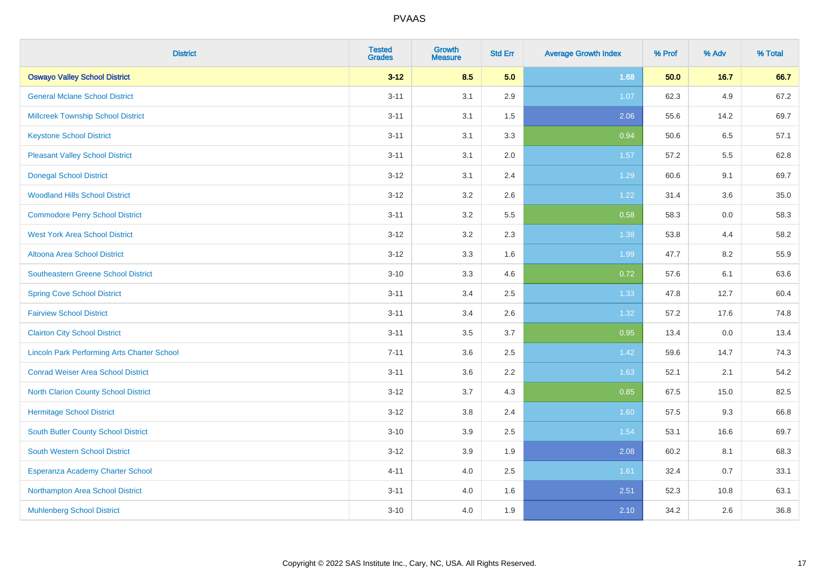| <b>District</b>                                    | <b>Tested</b><br><b>Grades</b> | <b>Growth</b><br><b>Measure</b> | <b>Std Err</b> | <b>Average Growth Index</b> | % Prof | % Adv | % Total |
|----------------------------------------------------|--------------------------------|---------------------------------|----------------|-----------------------------|--------|-------|---------|
| <b>Oswayo Valley School District</b>               | $3 - 12$                       | 8.5                             | 5.0            | 1.68                        | 50.0   | 16.7  | 66.7    |
| <b>General Mclane School District</b>              | $3 - 11$                       | 3.1                             | 2.9            | 1.07                        | 62.3   | 4.9   | 67.2    |
| <b>Millcreek Township School District</b>          | $3 - 11$                       | 3.1                             | 1.5            | 2.06                        | 55.6   | 14.2  | 69.7    |
| <b>Keystone School District</b>                    | $3 - 11$                       | 3.1                             | 3.3            | 0.94                        | 50.6   | 6.5   | 57.1    |
| <b>Pleasant Valley School District</b>             | $3 - 11$                       | 3.1                             | 2.0            | 1.57                        | 57.2   | 5.5   | 62.8    |
| <b>Donegal School District</b>                     | $3 - 12$                       | 3.1                             | 2.4            | 1.29                        | 60.6   | 9.1   | 69.7    |
| <b>Woodland Hills School District</b>              | $3 - 12$                       | 3.2                             | 2.6            | 1.22                        | 31.4   | 3.6   | 35.0    |
| <b>Commodore Perry School District</b>             | $3 - 11$                       | 3.2                             | 5.5            | 0.58                        | 58.3   | 0.0   | 58.3    |
| <b>West York Area School District</b>              | $3 - 12$                       | 3.2                             | 2.3            | 1.38                        | 53.8   | 4.4   | 58.2    |
| <b>Altoona Area School District</b>                | $3 - 12$                       | 3.3                             | 1.6            | 1.99                        | 47.7   | 8.2   | 55.9    |
| <b>Southeastern Greene School District</b>         | $3 - 10$                       | 3.3                             | 4.6            | 0.72                        | 57.6   | 6.1   | 63.6    |
| <b>Spring Cove School District</b>                 | $3 - 11$                       | 3.4                             | 2.5            | 1.33                        | 47.8   | 12.7  | 60.4    |
| <b>Fairview School District</b>                    | $3 - 11$                       | 3.4                             | 2.6            | 1.32                        | 57.2   | 17.6  | 74.8    |
| <b>Clairton City School District</b>               | $3 - 11$                       | 3.5                             | 3.7            | 0.95                        | 13.4   | 0.0   | 13.4    |
| <b>Lincoln Park Performing Arts Charter School</b> | $7 - 11$                       | 3.6                             | 2.5            | 1.42                        | 59.6   | 14.7  | 74.3    |
| <b>Conrad Weiser Area School District</b>          | $3 - 11$                       | 3.6                             | 2.2            | 1.63                        | 52.1   | 2.1   | 54.2    |
| <b>North Clarion County School District</b>        | $3 - 12$                       | 3.7                             | 4.3            | 0.85                        | 67.5   | 15.0  | 82.5    |
| <b>Hermitage School District</b>                   | $3 - 12$                       | 3.8                             | 2.4            | 1.60                        | 57.5   | 9.3   | 66.8    |
| <b>South Butler County School District</b>         | $3 - 10$                       | 3.9                             | 2.5            | 1.54                        | 53.1   | 16.6  | 69.7    |
| South Western School District                      | $3 - 12$                       | 3.9                             | 1.9            | 2.08                        | 60.2   | 8.1   | 68.3    |
| Esperanza Academy Charter School                   | $4 - 11$                       | 4.0                             | 2.5            | 1.61                        | 32.4   | 0.7   | 33.1    |
| Northampton Area School District                   | $3 - 11$                       | 4.0                             | 1.6            | 2.51                        | 52.3   | 10.8  | 63.1    |
| <b>Muhlenberg School District</b>                  | $3 - 10$                       | 4.0                             | 1.9            | 2.10                        | 34.2   | 2.6   | 36.8    |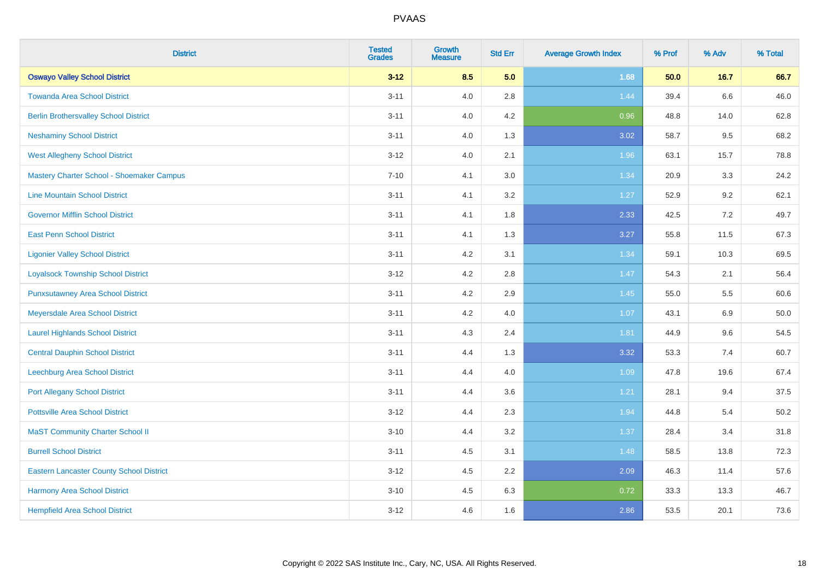| <b>District</b>                                 | <b>Tested</b><br><b>Grades</b> | <b>Growth</b><br><b>Measure</b> | <b>Std Err</b> | <b>Average Growth Index</b> | % Prof | % Adv   | % Total |
|-------------------------------------------------|--------------------------------|---------------------------------|----------------|-----------------------------|--------|---------|---------|
| <b>Oswayo Valley School District</b>            | $3 - 12$                       | 8.5                             | 5.0            | 1.68                        | 50.0   | $16.7$  | 66.7    |
| <b>Towanda Area School District</b>             | $3 - 11$                       | 4.0                             | 2.8            | 1.44                        | 39.4   | $6.6\,$ | 46.0    |
| <b>Berlin Brothersvalley School District</b>    | $3 - 11$                       | 4.0                             | 4.2            | 0.96                        | 48.8   | 14.0    | 62.8    |
| <b>Neshaminy School District</b>                | $3 - 11$                       | 4.0                             | 1.3            | 3.02                        | 58.7   | 9.5     | 68.2    |
| <b>West Allegheny School District</b>           | $3 - 12$                       | 4.0                             | 2.1            | 1.96                        | 63.1   | 15.7    | 78.8    |
| Mastery Charter School - Shoemaker Campus       | $7 - 10$                       | 4.1                             | 3.0            | 1.34                        | 20.9   | 3.3     | 24.2    |
| <b>Line Mountain School District</b>            | $3 - 11$                       | 4.1                             | 3.2            | $1.27$                      | 52.9   | 9.2     | 62.1    |
| <b>Governor Mifflin School District</b>         | $3 - 11$                       | 4.1                             | 1.8            | 2.33                        | 42.5   | 7.2     | 49.7    |
| <b>East Penn School District</b>                | $3 - 11$                       | 4.1                             | 1.3            | 3.27                        | 55.8   | 11.5    | 67.3    |
| <b>Ligonier Valley School District</b>          | $3 - 11$                       | 4.2                             | 3.1            | 1.34                        | 59.1   | 10.3    | 69.5    |
| <b>Loyalsock Township School District</b>       | $3 - 12$                       | 4.2                             | 2.8            | 1.47                        | 54.3   | 2.1     | 56.4    |
| <b>Punxsutawney Area School District</b>        | $3 - 11$                       | 4.2                             | 2.9            | 1.45                        | 55.0   | 5.5     | 60.6    |
| Meyersdale Area School District                 | $3 - 11$                       | 4.2                             | 4.0            | 1.07                        | 43.1   | 6.9     | 50.0    |
| <b>Laurel Highlands School District</b>         | $3 - 11$                       | 4.3                             | 2.4            | 1.81                        | 44.9   | 9.6     | 54.5    |
| <b>Central Dauphin School District</b>          | $3 - 11$                       | 4.4                             | 1.3            | 3.32                        | 53.3   | 7.4     | 60.7    |
| Leechburg Area School District                  | $3 - 11$                       | 4.4                             | 4.0            | 1.09                        | 47.8   | 19.6    | 67.4    |
| <b>Port Allegany School District</b>            | $3 - 11$                       | 4.4                             | 3.6            | 1.21                        | 28.1   | 9.4     | 37.5    |
| <b>Pottsville Area School District</b>          | $3 - 12$                       | 4.4                             | 2.3            | 1.94                        | 44.8   | 5.4     | 50.2    |
| <b>MaST Community Charter School II</b>         | $3 - 10$                       | 4.4                             | 3.2            | 1.37                        | 28.4   | 3.4     | 31.8    |
| <b>Burrell School District</b>                  | $3 - 11$                       | 4.5                             | 3.1            | 1.48                        | 58.5   | 13.8    | 72.3    |
| <b>Eastern Lancaster County School District</b> | $3-12$                         | 4.5                             | 2.2            | 2.09                        | 46.3   | 11.4    | 57.6    |
| Harmony Area School District                    | $3 - 10$                       | 4.5                             | 6.3            | 0.72                        | 33.3   | 13.3    | 46.7    |
| <b>Hempfield Area School District</b>           | $3-12$                         | 4.6                             | 1.6            | 2.86                        | 53.5   | 20.1    | 73.6    |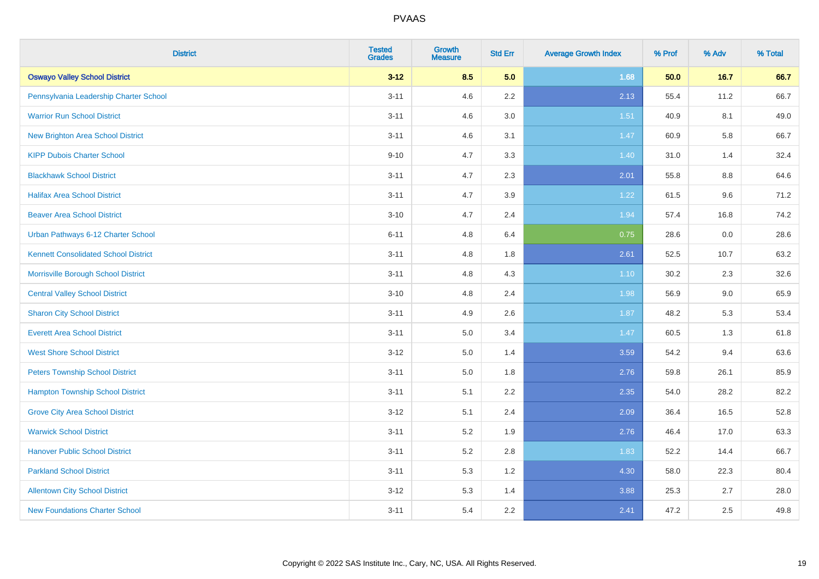| <b>District</b>                             | <b>Tested</b><br><b>Grades</b> | Growth<br><b>Measure</b> | <b>Std Err</b> | <b>Average Growth Index</b> | % Prof | % Adv   | % Total |
|---------------------------------------------|--------------------------------|--------------------------|----------------|-----------------------------|--------|---------|---------|
| <b>Oswayo Valley School District</b>        | $3 - 12$                       | 8.5                      | 5.0            | 1.68                        | 50.0   | 16.7    | 66.7    |
| Pennsylvania Leadership Charter School      | $3 - 11$                       | 4.6                      | 2.2            | 2.13                        | 55.4   | 11.2    | 66.7    |
| <b>Warrior Run School District</b>          | $3 - 11$                       | 4.6                      | 3.0            | 1.51                        | 40.9   | 8.1     | 49.0    |
| <b>New Brighton Area School District</b>    | $3 - 11$                       | 4.6                      | 3.1            | 1.47                        | 60.9   | 5.8     | 66.7    |
| <b>KIPP Dubois Charter School</b>           | $9 - 10$                       | 4.7                      | 3.3            | 1.40                        | 31.0   | 1.4     | 32.4    |
| <b>Blackhawk School District</b>            | $3 - 11$                       | 4.7                      | 2.3            | 2.01                        | 55.8   | 8.8     | 64.6    |
| <b>Halifax Area School District</b>         | $3 - 11$                       | 4.7                      | 3.9            | 1.22                        | 61.5   | 9.6     | 71.2    |
| <b>Beaver Area School District</b>          | $3 - 10$                       | 4.7                      | 2.4            | 1.94                        | 57.4   | 16.8    | 74.2    |
| Urban Pathways 6-12 Charter School          | $6 - 11$                       | 4.8                      | 6.4            | 0.75                        | 28.6   | $0.0\,$ | 28.6    |
| <b>Kennett Consolidated School District</b> | $3 - 11$                       | 4.8                      | 1.8            | 2.61                        | 52.5   | 10.7    | 63.2    |
| Morrisville Borough School District         | $3 - 11$                       | 4.8                      | 4.3            | 1.10                        | 30.2   | 2.3     | 32.6    |
| <b>Central Valley School District</b>       | $3 - 10$                       | 4.8                      | 2.4            | 1.98                        | 56.9   | $9.0\,$ | 65.9    |
| <b>Sharon City School District</b>          | $3 - 11$                       | 4.9                      | 2.6            | 1.87                        | 48.2   | 5.3     | 53.4    |
| <b>Everett Area School District</b>         | $3 - 11$                       | 5.0                      | 3.4            | 1.47                        | 60.5   | 1.3     | 61.8    |
| <b>West Shore School District</b>           | $3-12$                         | 5.0                      | 1.4            | 3.59                        | 54.2   | 9.4     | 63.6    |
| <b>Peters Township School District</b>      | $3 - 11$                       | 5.0                      | 1.8            | 2.76                        | 59.8   | 26.1    | 85.9    |
| <b>Hampton Township School District</b>     | $3 - 11$                       | 5.1                      | 2.2            | 2.35                        | 54.0   | 28.2    | 82.2    |
| <b>Grove City Area School District</b>      | $3 - 12$                       | 5.1                      | 2.4            | 2.09                        | 36.4   | 16.5    | 52.8    |
| <b>Warwick School District</b>              | $3 - 11$                       | 5.2                      | 1.9            | 2.76                        | 46.4   | 17.0    | 63.3    |
| <b>Hanover Public School District</b>       | $3 - 11$                       | 5.2                      | 2.8            | 1.83                        | 52.2   | 14.4    | 66.7    |
| <b>Parkland School District</b>             | $3 - 11$                       | 5.3                      | 1.2            | 4.30                        | 58.0   | 22.3    | 80.4    |
| <b>Allentown City School District</b>       | $3 - 12$                       | 5.3                      | 1.4            | 3.88                        | 25.3   | 2.7     | 28.0    |
| <b>New Foundations Charter School</b>       | $3 - 11$                       | 5.4                      | 2.2            | 2.41                        | 47.2   | 2.5     | 49.8    |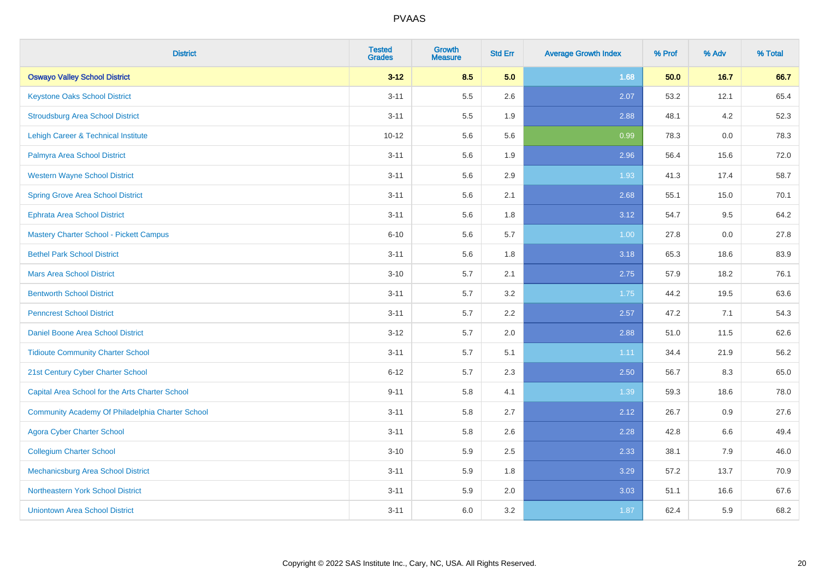| <b>District</b>                                  | <b>Tested</b><br><b>Grades</b> | <b>Growth</b><br><b>Measure</b> | <b>Std Err</b> | <b>Average Growth Index</b> | % Prof | % Adv  | % Total |
|--------------------------------------------------|--------------------------------|---------------------------------|----------------|-----------------------------|--------|--------|---------|
| <b>Oswayo Valley School District</b>             | $3 - 12$                       | 8.5                             | 5.0            | 1.68                        | 50.0   | $16.7$ | 66.7    |
| <b>Keystone Oaks School District</b>             | $3 - 11$                       | 5.5                             | 2.6            | 2.07                        | 53.2   | 12.1   | 65.4    |
| <b>Stroudsburg Area School District</b>          | $3 - 11$                       | 5.5                             | 1.9            | 2.88                        | 48.1   | 4.2    | 52.3    |
| Lehigh Career & Technical Institute              | $10 - 12$                      | 5.6                             | 5.6            | 0.99                        | 78.3   | 0.0    | 78.3    |
| Palmyra Area School District                     | $3 - 11$                       | 5.6                             | 1.9            | 2.96                        | 56.4   | 15.6   | 72.0    |
| <b>Western Wayne School District</b>             | $3 - 11$                       | 5.6                             | 2.9            | 1.93                        | 41.3   | 17.4   | 58.7    |
| <b>Spring Grove Area School District</b>         | $3 - 11$                       | 5.6                             | 2.1            | 2.68                        | 55.1   | 15.0   | 70.1    |
| <b>Ephrata Area School District</b>              | $3 - 11$                       | 5.6                             | 1.8            | 3.12                        | 54.7   | 9.5    | 64.2    |
| Mastery Charter School - Pickett Campus          | $6 - 10$                       | 5.6                             | 5.7            | 1.00                        | 27.8   | 0.0    | 27.8    |
| <b>Bethel Park School District</b>               | $3 - 11$                       | 5.6                             | 1.8            | 3.18                        | 65.3   | 18.6   | 83.9    |
| <b>Mars Area School District</b>                 | $3 - 10$                       | 5.7                             | 2.1            | 2.75                        | 57.9   | 18.2   | 76.1    |
| <b>Bentworth School District</b>                 | $3 - 11$                       | 5.7                             | 3.2            | 1.75                        | 44.2   | 19.5   | 63.6    |
| <b>Penncrest School District</b>                 | $3 - 11$                       | 5.7                             | 2.2            | 2.57                        | 47.2   | 7.1    | 54.3    |
| <b>Daniel Boone Area School District</b>         | $3-12$                         | 5.7                             | 2.0            | 2.88                        | 51.0   | 11.5   | 62.6    |
| <b>Tidioute Community Charter School</b>         | $3 - 11$                       | 5.7                             | 5.1            | 1.11                        | 34.4   | 21.9   | 56.2    |
| 21st Century Cyber Charter School                | $6 - 12$                       | 5.7                             | 2.3            | 2.50                        | 56.7   | 8.3    | 65.0    |
| Capital Area School for the Arts Charter School  | $9 - 11$                       | 5.8                             | 4.1            | 1.39                        | 59.3   | 18.6   | 78.0    |
| Community Academy Of Philadelphia Charter School | $3 - 11$                       | 5.8                             | 2.7            | 2.12                        | 26.7   | 0.9    | 27.6    |
| <b>Agora Cyber Charter School</b>                | $3 - 11$                       | 5.8                             | 2.6            | 2.28                        | 42.8   | 6.6    | 49.4    |
| <b>Collegium Charter School</b>                  | $3 - 10$                       | 5.9                             | 2.5            | 2.33                        | 38.1   | 7.9    | 46.0    |
| <b>Mechanicsburg Area School District</b>        | $3 - 11$                       | 5.9                             | 1.8            | 3.29                        | 57.2   | 13.7   | 70.9    |
| Northeastern York School District                | $3 - 11$                       | 5.9                             | 2.0            | 3.03                        | 51.1   | 16.6   | 67.6    |
| <b>Uniontown Area School District</b>            | $3 - 11$                       | 6.0                             | 3.2            | 1.87                        | 62.4   | 5.9    | 68.2    |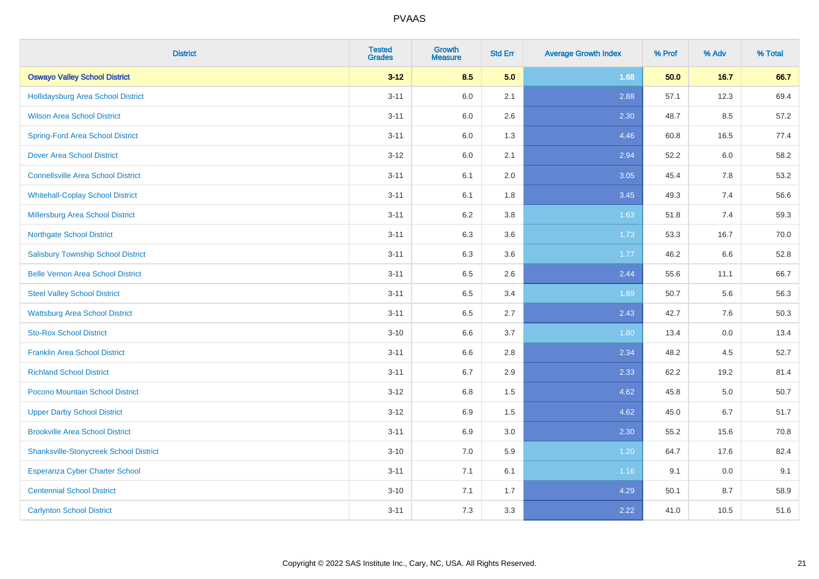| <b>District</b>                               | <b>Tested</b><br><b>Grades</b> | <b>Growth</b><br><b>Measure</b> | <b>Std Err</b> | <b>Average Growth Index</b> | % Prof | % Adv | % Total |
|-----------------------------------------------|--------------------------------|---------------------------------|----------------|-----------------------------|--------|-------|---------|
| <b>Oswayo Valley School District</b>          | $3 - 12$                       | 8.5                             | 5.0            | 1.68                        | 50.0   | 16.7  | 66.7    |
| Hollidaysburg Area School District            | $3 - 11$                       | 6.0                             | 2.1            | 2.88                        | 57.1   | 12.3  | 69.4    |
| <b>Wilson Area School District</b>            | $3 - 11$                       | 6.0                             | 2.6            | 2.30                        | 48.7   | 8.5   | 57.2    |
| <b>Spring-Ford Area School District</b>       | $3 - 11$                       | $6.0\,$                         | 1.3            | 4.46                        | 60.8   | 16.5  | 77.4    |
| <b>Dover Area School District</b>             | $3 - 12$                       | 6.0                             | 2.1            | 2.94                        | 52.2   | 6.0   | 58.2    |
| <b>Connellsville Area School District</b>     | $3 - 11$                       | 6.1                             | 2.0            | 3.05                        | 45.4   | 7.8   | 53.2    |
| <b>Whitehall-Coplay School District</b>       | $3 - 11$                       | 6.1                             | 1.8            | 3.45                        | 49.3   | 7.4   | 56.6    |
| <b>Millersburg Area School District</b>       | $3 - 11$                       | 6.2                             | 3.8            | 1.63                        | 51.8   | 7.4   | 59.3    |
| <b>Northgate School District</b>              | $3 - 11$                       | 6.3                             | 3.6            | 1.73                        | 53.3   | 16.7  | 70.0    |
| <b>Salisbury Township School District</b>     | $3 - 11$                       | 6.3                             | 3.6            | 1.77                        | 46.2   | 6.6   | 52.8    |
| <b>Belle Vernon Area School District</b>      | $3 - 11$                       | 6.5                             | 2.6            | 2.44                        | 55.6   | 11.1  | 66.7    |
| <b>Steel Valley School District</b>           | $3 - 11$                       | 6.5                             | 3.4            | 1.89                        | 50.7   | 5.6   | 56.3    |
| <b>Wattsburg Area School District</b>         | $3 - 11$                       | 6.5                             | 2.7            | 2.43                        | 42.7   | 7.6   | 50.3    |
| <b>Sto-Rox School District</b>                | $3 - 10$                       | 6.6                             | 3.7            | 1.80                        | 13.4   | 0.0   | 13.4    |
| <b>Franklin Area School District</b>          | $3 - 11$                       | 6.6                             | 2.8            | 2.34                        | 48.2   | 4.5   | 52.7    |
| <b>Richland School District</b>               | $3 - 11$                       | 6.7                             | 2.9            | 2.33                        | 62.2   | 19.2  | 81.4    |
| Pocono Mountain School District               | $3 - 12$                       | 6.8                             | 1.5            | 4.62                        | 45.8   | 5.0   | 50.7    |
| <b>Upper Darby School District</b>            | $3 - 12$                       | 6.9                             | 1.5            | 4.62                        | 45.0   | 6.7   | 51.7    |
| <b>Brookville Area School District</b>        | $3 - 11$                       | 6.9                             | 3.0            | 2.30                        | 55.2   | 15.6  | 70.8    |
| <b>Shanksville-Stonycreek School District</b> | $3 - 10$                       | 7.0                             | 5.9            | 1.20                        | 64.7   | 17.6  | 82.4    |
| <b>Esperanza Cyber Charter School</b>         | $3 - 11$                       | 7.1                             | 6.1            | 1.16                        | 9.1    | 0.0   | 9.1     |
| <b>Centennial School District</b>             | $3 - 10$                       | 7.1                             | 1.7            | 4.29                        | 50.1   | 8.7   | 58.9    |
| <b>Carlynton School District</b>              | $3 - 11$                       | 7.3                             | 3.3            | 2.22                        | 41.0   | 10.5  | 51.6    |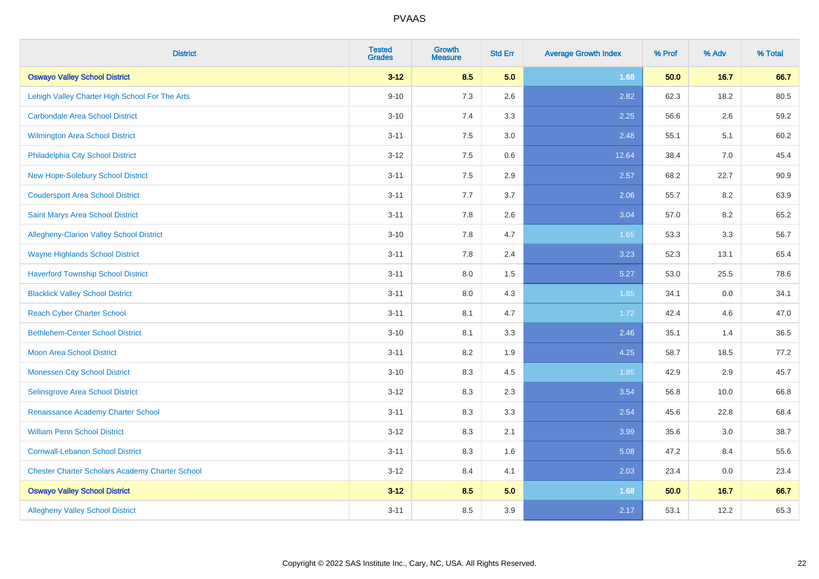| <b>District</b>                                        | <b>Tested</b><br><b>Grades</b> | <b>Growth</b><br><b>Measure</b> | <b>Std Err</b> | <b>Average Growth Index</b> | % Prof | % Adv | % Total |
|--------------------------------------------------------|--------------------------------|---------------------------------|----------------|-----------------------------|--------|-------|---------|
| <b>Oswayo Valley School District</b>                   | $3 - 12$                       | 8.5                             | 5.0            | 1.68                        | 50.0   | 16.7  | 66.7    |
| Lehigh Valley Charter High School For The Arts         | $9 - 10$                       | 7.3                             | 2.6            | 2.82                        | 62.3   | 18.2  | 80.5    |
| <b>Carbondale Area School District</b>                 | $3 - 10$                       | 7.4                             | 3.3            | 2.25                        | 56.6   | 2.6   | 59.2    |
| <b>Wilmington Area School District</b>                 | $3 - 11$                       | 7.5                             | 3.0            | 2.48                        | 55.1   | 5.1   | 60.2    |
| Philadelphia City School District                      | $3 - 12$                       | 7.5                             | 0.6            | 12.64                       | 38.4   | 7.0   | 45.4    |
| New Hope-Solebury School District                      | $3 - 11$                       | 7.5                             | 2.9            | 2.57                        | 68.2   | 22.7  | 90.9    |
| <b>Coudersport Area School District</b>                | $3 - 11$                       | 7.7                             | 3.7            | 2.06                        | 55.7   | 8.2   | 63.9    |
| Saint Marys Area School District                       | $3 - 11$                       | 7.8                             | 2.6            | 3.04                        | 57.0   | 8.2   | 65.2    |
| Allegheny-Clarion Valley School District               | $3 - 10$                       | 7.8                             | 4.7            | 1.65                        | 53.3   | 3.3   | 56.7    |
| <b>Wayne Highlands School District</b>                 | $3 - 11$                       | 7.8                             | 2.4            | 3.23                        | 52.3   | 13.1  | 65.4    |
| <b>Haverford Township School District</b>              | $3 - 11$                       | $8.0\,$                         | 1.5            | 5.27                        | 53.0   | 25.5  | 78.6    |
| <b>Blacklick Valley School District</b>                | $3 - 11$                       | 8.0                             | 4.3            | 1.85                        | 34.1   | 0.0   | 34.1    |
| <b>Reach Cyber Charter School</b>                      | $3 - 11$                       | 8.1                             | 4.7            | 1.72                        | 42.4   | 4.6   | 47.0    |
| <b>Bethlehem-Center School District</b>                | $3 - 10$                       | 8.1                             | 3.3            | 2.46                        | 35.1   | 1.4   | 36.5    |
| <b>Moon Area School District</b>                       | $3 - 11$                       | 8.2                             | 1.9            | 4.25                        | 58.7   | 18.5  | 77.2    |
| <b>Monessen City School District</b>                   | $3 - 10$                       | 8.3                             | 4.5            | 1.85                        | 42.9   | 2.9   | 45.7    |
| Selinsgrove Area School District                       | $3 - 12$                       | 8.3                             | 2.3            | 3.54                        | 56.8   | 10.0  | 66.8    |
| Renaissance Academy Charter School                     | $3 - 11$                       | 8.3                             | 3.3            | 2.54                        | 45.6   | 22.8  | 68.4    |
| <b>William Penn School District</b>                    | $3 - 12$                       | 8.3                             | 2.1            | 3.99                        | 35.6   | 3.0   | 38.7    |
| <b>Cornwall-Lebanon School District</b>                | $3 - 11$                       | 8.3                             | 1.6            | 5.08                        | 47.2   | 8.4   | 55.6    |
| <b>Chester Charter Scholars Academy Charter School</b> | $3 - 12$                       | 8.4                             | 4.1            | 2.03                        | 23.4   | 0.0   | 23.4    |
| <b>Oswayo Valley School District</b>                   | $3 - 12$                       | 8.5                             | 5.0            | 1.68                        | 50.0   | 16.7  | 66.7    |
| <b>Allegheny Valley School District</b>                | $3 - 11$                       | 8.5                             | 3.9            | 2.17                        | 53.1   | 12.2  | 65.3    |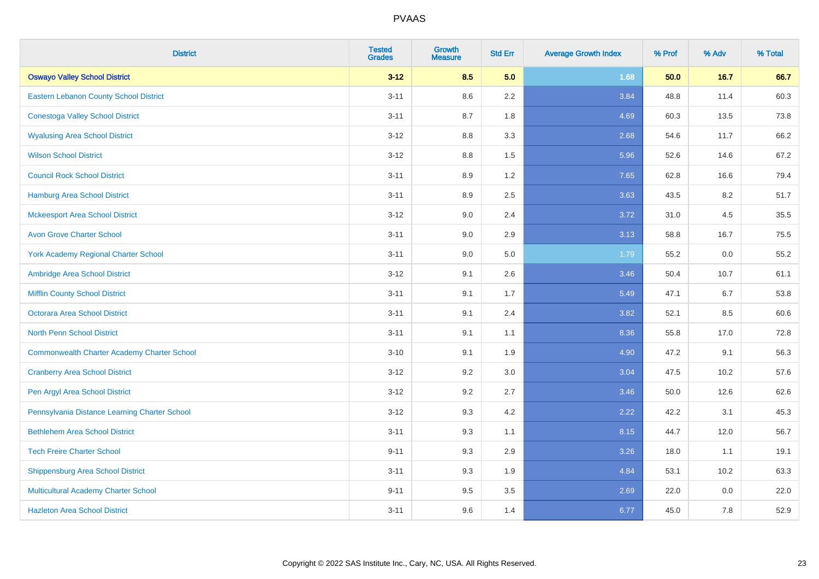| <b>District</b>                                    | <b>Tested</b><br><b>Grades</b> | <b>Growth</b><br><b>Measure</b> | <b>Std Err</b> | <b>Average Growth Index</b> | % Prof | % Adv  | % Total |
|----------------------------------------------------|--------------------------------|---------------------------------|----------------|-----------------------------|--------|--------|---------|
| <b>Oswayo Valley School District</b>               | $3 - 12$                       | 8.5                             | 5.0            | 1.68                        | 50.0   | $16.7$ | 66.7    |
| Eastern Lebanon County School District             | $3 - 11$                       | 8.6                             | 2.2            | 3.84                        | 48.8   | 11.4   | 60.3    |
| <b>Conestoga Valley School District</b>            | $3 - 11$                       | 8.7                             | 1.8            | 4.69                        | 60.3   | 13.5   | 73.8    |
| <b>Wyalusing Area School District</b>              | $3 - 12$                       | 8.8                             | 3.3            | 2.68                        | 54.6   | 11.7   | 66.2    |
| <b>Wilson School District</b>                      | $3 - 12$                       | 8.8                             | 1.5            | 5.96                        | 52.6   | 14.6   | 67.2    |
| <b>Council Rock School District</b>                | $3 - 11$                       | 8.9                             | 1.2            | 7.65                        | 62.8   | 16.6   | 79.4    |
| Hamburg Area School District                       | $3 - 11$                       | 8.9                             | 2.5            | 3.63                        | 43.5   | 8.2    | 51.7    |
| <b>Mckeesport Area School District</b>             | $3 - 12$                       | 9.0                             | 2.4            | 3.72                        | 31.0   | 4.5    | 35.5    |
| <b>Avon Grove Charter School</b>                   | $3 - 11$                       | 9.0                             | 2.9            | 3.13                        | 58.8   | 16.7   | 75.5    |
| <b>York Academy Regional Charter School</b>        | $3 - 11$                       | 9.0                             | 5.0            | 1.79                        | 55.2   | 0.0    | 55.2    |
| Ambridge Area School District                      | $3 - 12$                       | 9.1                             | 2.6            | 3.46                        | 50.4   | 10.7   | 61.1    |
| <b>Mifflin County School District</b>              | $3 - 11$                       | 9.1                             | 1.7            | 5.49                        | 47.1   | 6.7    | 53.8    |
| Octorara Area School District                      | $3 - 11$                       | 9.1                             | 2.4            | 3.82                        | 52.1   | 8.5    | 60.6    |
| <b>North Penn School District</b>                  | $3 - 11$                       | 9.1                             | 1.1            | 8.36                        | 55.8   | 17.0   | 72.8    |
| <b>Commonwealth Charter Academy Charter School</b> | $3 - 10$                       | 9.1                             | 1.9            | 4.90                        | 47.2   | 9.1    | 56.3    |
| <b>Cranberry Area School District</b>              | $3-12$                         | 9.2                             | 3.0            | 3.04                        | 47.5   | 10.2   | 57.6    |
| Pen Argyl Area School District                     | $3-12$                         | 9.2                             | 2.7            | 3.46                        | 50.0   | 12.6   | 62.6    |
| Pennsylvania Distance Learning Charter School      | $3 - 12$                       | 9.3                             | 4.2            | 2.22                        | 42.2   | 3.1    | 45.3    |
| <b>Bethlehem Area School District</b>              | $3 - 11$                       | 9.3                             | 1.1            | 8.15                        | 44.7   | 12.0   | 56.7    |
| <b>Tech Freire Charter School</b>                  | $9 - 11$                       | 9.3                             | 2.9            | 3.26                        | 18.0   | 1.1    | 19.1    |
| <b>Shippensburg Area School District</b>           | $3 - 11$                       | 9.3                             | 1.9            | 4.84                        | 53.1   | 10.2   | 63.3    |
| Multicultural Academy Charter School               | $9 - 11$                       | 9.5                             | 3.5            | 2.69                        | 22.0   | 0.0    | 22.0    |
| <b>Hazleton Area School District</b>               | $3 - 11$                       | 9.6                             | 1.4            | 6.77                        | 45.0   | 7.8    | 52.9    |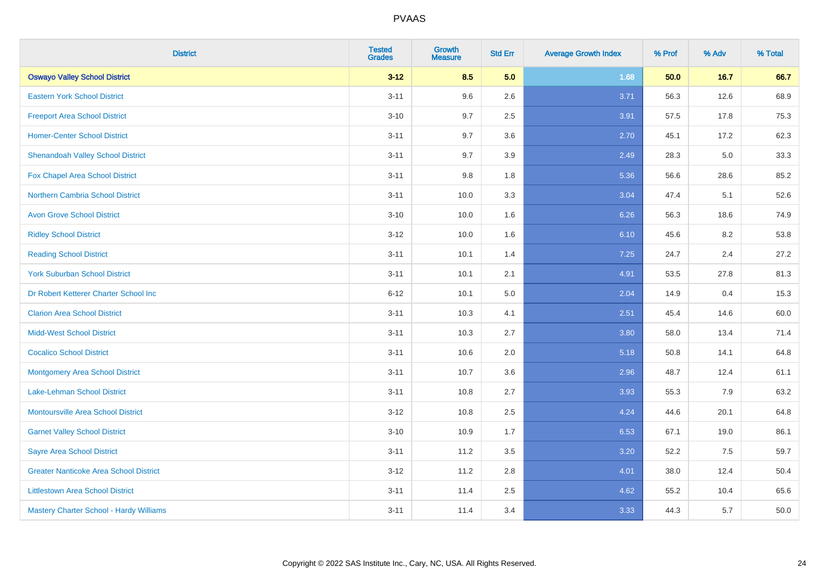| <b>District</b>                                | <b>Tested</b><br><b>Grades</b> | <b>Growth</b><br><b>Measure</b> | <b>Std Err</b> | <b>Average Growth Index</b> | % Prof | % Adv | % Total |
|------------------------------------------------|--------------------------------|---------------------------------|----------------|-----------------------------|--------|-------|---------|
| <b>Oswayo Valley School District</b>           | $3 - 12$                       | 8.5                             | 5.0            | 1.68                        | 50.0   | 16.7  | 66.7    |
| <b>Eastern York School District</b>            | $3 - 11$                       | 9.6                             | 2.6            | 3.71                        | 56.3   | 12.6  | 68.9    |
| <b>Freeport Area School District</b>           | $3 - 10$                       | 9.7                             | 2.5            | 3.91                        | 57.5   | 17.8  | 75.3    |
| <b>Homer-Center School District</b>            | $3 - 11$                       | 9.7                             | 3.6            | 2.70                        | 45.1   | 17.2  | 62.3    |
| <b>Shenandoah Valley School District</b>       | $3 - 11$                       | 9.7                             | 3.9            | 2.49                        | 28.3   | 5.0   | 33.3    |
| Fox Chapel Area School District                | $3 - 11$                       | 9.8                             | 1.8            | 5.36                        | 56.6   | 28.6  | 85.2    |
| <b>Northern Cambria School District</b>        | $3 - 11$                       | 10.0                            | 3.3            | 3.04                        | 47.4   | 5.1   | 52.6    |
| <b>Avon Grove School District</b>              | $3 - 10$                       | 10.0                            | 1.6            | 6.26                        | 56.3   | 18.6  | 74.9    |
| <b>Ridley School District</b>                  | $3 - 12$                       | 10.0                            | 1.6            | 6.10                        | 45.6   | 8.2   | 53.8    |
| <b>Reading School District</b>                 | $3 - 11$                       | 10.1                            | 1.4            | 7.25                        | 24.7   | 2.4   | 27.2    |
| <b>York Suburban School District</b>           | $3 - 11$                       | 10.1                            | 2.1            | 4.91                        | 53.5   | 27.8  | 81.3    |
| Dr Robert Ketterer Charter School Inc          | $6 - 12$                       | 10.1                            | 5.0            | 2.04                        | 14.9   | 0.4   | 15.3    |
| <b>Clarion Area School District</b>            | $3 - 11$                       | 10.3                            | 4.1            | 2.51                        | 45.4   | 14.6  | 60.0    |
| <b>Midd-West School District</b>               | $3 - 11$                       | 10.3                            | 2.7            | 3.80                        | 58.0   | 13.4  | 71.4    |
| <b>Cocalico School District</b>                | $3 - 11$                       | 10.6                            | 2.0            | 5.18                        | 50.8   | 14.1  | 64.8    |
| <b>Montgomery Area School District</b>         | $3 - 11$                       | 10.7                            | 3.6            | 2.96                        | 48.7   | 12.4  | 61.1    |
| Lake-Lehman School District                    | $3 - 11$                       | 10.8                            | 2.7            | 3.93                        | 55.3   | 7.9   | 63.2    |
| <b>Montoursville Area School District</b>      | $3 - 12$                       | 10.8                            | 2.5            | 4.24                        | 44.6   | 20.1  | 64.8    |
| <b>Garnet Valley School District</b>           | $3 - 10$                       | 10.9                            | 1.7            | 6.53                        | 67.1   | 19.0  | 86.1    |
| <b>Sayre Area School District</b>              | $3 - 11$                       | 11.2                            | 3.5            | 3.20                        | 52.2   | 7.5   | 59.7    |
| <b>Greater Nanticoke Area School District</b>  | $3-12$                         | 11.2                            | 2.8            | 4.01                        | 38.0   | 12.4  | 50.4    |
| <b>Littlestown Area School District</b>        | $3 - 11$                       | 11.4                            | 2.5            | 4.62                        | 55.2   | 10.4  | 65.6    |
| <b>Mastery Charter School - Hardy Williams</b> | $3 - 11$                       | 11.4                            | 3.4            | 3.33                        | 44.3   | 5.7   | 50.0    |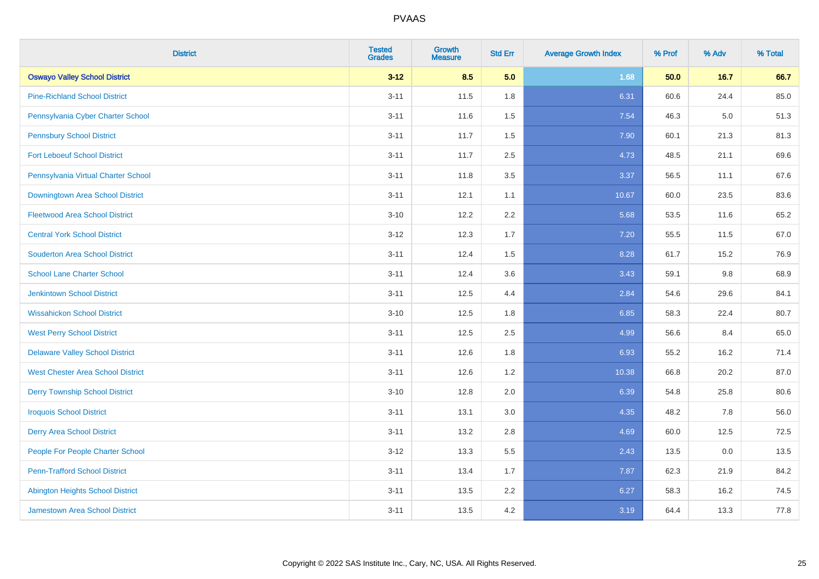| <b>District</b>                          | <b>Tested</b><br><b>Grades</b> | <b>Growth</b><br><b>Measure</b> | <b>Std Err</b> | <b>Average Growth Index</b> | % Prof | % Adv   | % Total |
|------------------------------------------|--------------------------------|---------------------------------|----------------|-----------------------------|--------|---------|---------|
| <b>Oswayo Valley School District</b>     | $3 - 12$                       | 8.5                             | 5.0            | 1.68                        | 50.0   | 16.7    | 66.7    |
| <b>Pine-Richland School District</b>     | $3 - 11$                       | 11.5                            | 1.8            | 6.31                        | 60.6   | 24.4    | 85.0    |
| Pennsylvania Cyber Charter School        | $3 - 11$                       | 11.6                            | 1.5            | 7.54                        | 46.3   | $5.0\,$ | 51.3    |
| <b>Pennsbury School District</b>         | $3 - 11$                       | 11.7                            | 1.5            | 7.90                        | 60.1   | 21.3    | 81.3    |
| <b>Fort Leboeuf School District</b>      | $3 - 11$                       | 11.7                            | 2.5            | 4.73                        | 48.5   | 21.1    | 69.6    |
| Pennsylvania Virtual Charter School      | $3 - 11$                       | 11.8                            | 3.5            | 3.37                        | 56.5   | 11.1    | 67.6    |
| Downingtown Area School District         | $3 - 11$                       | 12.1                            | 1.1            | 10.67                       | 60.0   | 23.5    | 83.6    |
| <b>Fleetwood Area School District</b>    | $3 - 10$                       | 12.2                            | 2.2            | 5.68                        | 53.5   | 11.6    | 65.2    |
| <b>Central York School District</b>      | $3 - 12$                       | 12.3                            | 1.7            | 7.20                        | 55.5   | 11.5    | 67.0    |
| <b>Souderton Area School District</b>    | $3 - 11$                       | 12.4                            | 1.5            | 8.28                        | 61.7   | 15.2    | 76.9    |
| <b>School Lane Charter School</b>        | $3 - 11$                       | 12.4                            | 3.6            | 3.43                        | 59.1   | 9.8     | 68.9    |
| Jenkintown School District               | $3 - 11$                       | 12.5                            | 4.4            | 2.84                        | 54.6   | 29.6    | 84.1    |
| <b>Wissahickon School District</b>       | $3 - 10$                       | 12.5                            | 1.8            | 6.85                        | 58.3   | 22.4    | 80.7    |
| <b>West Perry School District</b>        | $3 - 11$                       | 12.5                            | 2.5            | 4.99                        | 56.6   | 8.4     | 65.0    |
| <b>Delaware Valley School District</b>   | $3 - 11$                       | 12.6                            | 1.8            | 6.93                        | 55.2   | 16.2    | 71.4    |
| <b>West Chester Area School District</b> | $3 - 11$                       | 12.6                            | 1.2            | 10.38                       | 66.8   | 20.2    | 87.0    |
| <b>Derry Township School District</b>    | $3 - 10$                       | 12.8                            | 2.0            | 6.39                        | 54.8   | 25.8    | 80.6    |
| <b>Iroquois School District</b>          | $3 - 11$                       | 13.1                            | 3.0            | 4.35                        | 48.2   | 7.8     | 56.0    |
| <b>Derry Area School District</b>        | $3 - 11$                       | 13.2                            | 2.8            | 4.69                        | 60.0   | 12.5    | 72.5    |
| People For People Charter School         | $3 - 12$                       | 13.3                            | 5.5            | 2.43                        | 13.5   | 0.0     | 13.5    |
| <b>Penn-Trafford School District</b>     | $3 - 11$                       | 13.4                            | 1.7            | 7.87                        | 62.3   | 21.9    | 84.2    |
| <b>Abington Heights School District</b>  | $3 - 11$                       | 13.5                            | 2.2            | 6.27                        | 58.3   | 16.2    | 74.5    |
| <b>Jamestown Area School District</b>    | $3 - 11$                       | 13.5                            | 4.2            | 3.19                        | 64.4   | 13.3    | 77.8    |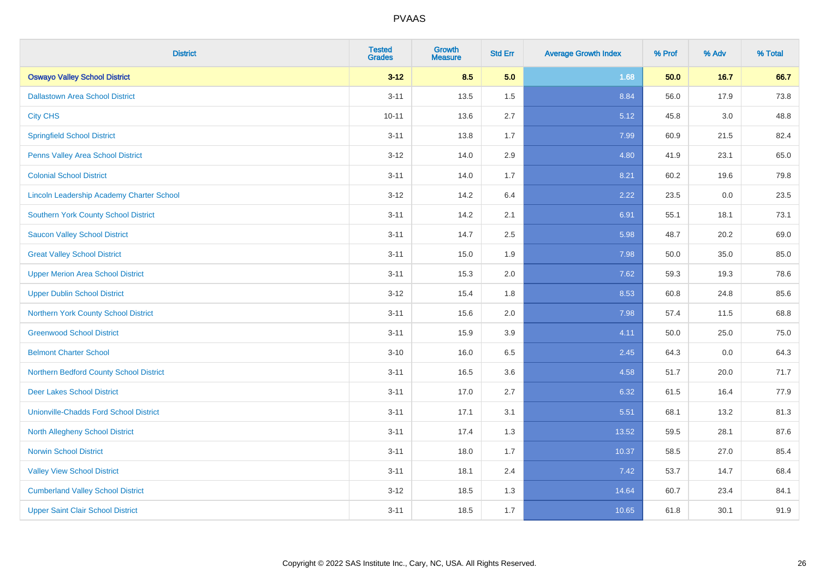| <b>District</b>                                  | <b>Tested</b><br><b>Grades</b> | <b>Growth</b><br><b>Measure</b> | <b>Std Err</b> | <b>Average Growth Index</b> | % Prof | % Adv   | % Total |
|--------------------------------------------------|--------------------------------|---------------------------------|----------------|-----------------------------|--------|---------|---------|
| <b>Oswayo Valley School District</b>             | $3 - 12$                       | 8.5                             | 5.0            | 1.68                        | 50.0   | $16.7$  | 66.7    |
| <b>Dallastown Area School District</b>           | $3 - 11$                       | 13.5                            | 1.5            | 8.84                        | 56.0   | 17.9    | 73.8    |
| <b>City CHS</b>                                  | $10 - 11$                      | 13.6                            | 2.7            | 5.12                        | 45.8   | 3.0     | 48.8    |
| <b>Springfield School District</b>               | $3 - 11$                       | 13.8                            | 1.7            | 7.99                        | 60.9   | 21.5    | 82.4    |
| Penns Valley Area School District                | $3 - 12$                       | 14.0                            | 2.9            | 4.80                        | 41.9   | 23.1    | 65.0    |
| <b>Colonial School District</b>                  | $3 - 11$                       | 14.0                            | 1.7            | 8.21                        | 60.2   | 19.6    | 79.8    |
| <b>Lincoln Leadership Academy Charter School</b> | $3 - 12$                       | 14.2                            | 6.4            | 2.22                        | 23.5   | $0.0\,$ | 23.5    |
| <b>Southern York County School District</b>      | $3 - 11$                       | 14.2                            | 2.1            | 6.91                        | 55.1   | 18.1    | 73.1    |
| <b>Saucon Valley School District</b>             | $3 - 11$                       | 14.7                            | 2.5            | 5.98                        | 48.7   | 20.2    | 69.0    |
| <b>Great Valley School District</b>              | $3 - 11$                       | 15.0                            | 1.9            | 7.98                        | 50.0   | 35.0    | 85.0    |
| <b>Upper Merion Area School District</b>         | $3 - 11$                       | 15.3                            | 2.0            | 7.62                        | 59.3   | 19.3    | 78.6    |
| <b>Upper Dublin School District</b>              | $3 - 12$                       | 15.4                            | 1.8            | 8.53                        | 60.8   | 24.8    | 85.6    |
| Northern York County School District             | $3 - 11$                       | 15.6                            | 2.0            | 7.98                        | 57.4   | 11.5    | 68.8    |
| <b>Greenwood School District</b>                 | $3 - 11$                       | 15.9                            | 3.9            | 4.11                        | 50.0   | 25.0    | 75.0    |
| <b>Belmont Charter School</b>                    | $3 - 10$                       | 16.0                            | 6.5            | 2.45                        | 64.3   | 0.0     | 64.3    |
| Northern Bedford County School District          | $3 - 11$                       | 16.5                            | 3.6            | 4.58                        | 51.7   | 20.0    | 71.7    |
| <b>Deer Lakes School District</b>                | $3 - 11$                       | 17.0                            | 2.7            | 6.32                        | 61.5   | 16.4    | 77.9    |
| <b>Unionville-Chadds Ford School District</b>    | $3 - 11$                       | 17.1                            | 3.1            | 5.51                        | 68.1   | 13.2    | 81.3    |
| <b>North Allegheny School District</b>           | $3 - 11$                       | 17.4                            | 1.3            | 13.52                       | 59.5   | 28.1    | 87.6    |
| <b>Norwin School District</b>                    | $3 - 11$                       | 18.0                            | 1.7            | 10.37                       | 58.5   | 27.0    | 85.4    |
| <b>Valley View School District</b>               | $3 - 11$                       | 18.1                            | 2.4            | 7.42                        | 53.7   | 14.7    | 68.4    |
| <b>Cumberland Valley School District</b>         | $3 - 12$                       | 18.5                            | 1.3            | 14.64                       | 60.7   | 23.4    | 84.1    |
| <b>Upper Saint Clair School District</b>         | $3 - 11$                       | 18.5                            | 1.7            | 10.65                       | 61.8   | 30.1    | 91.9    |